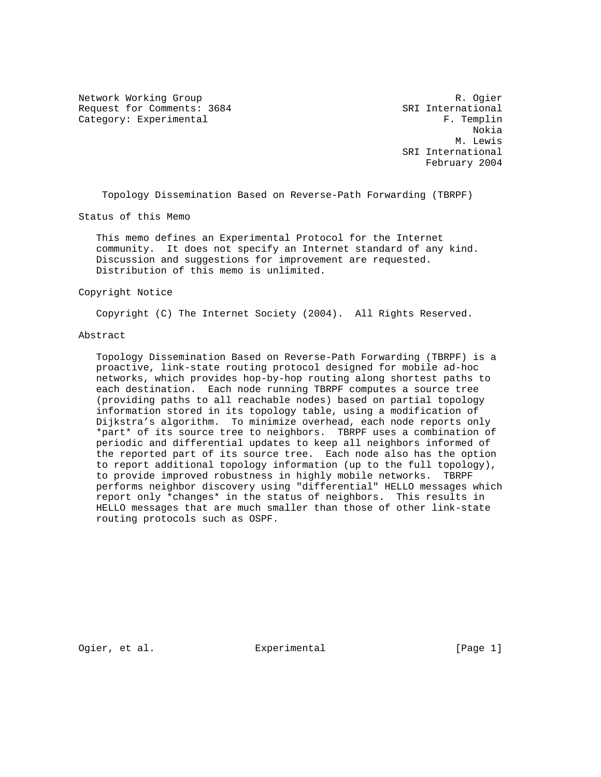Network Working Group and the set of the set of the set of the R. Ogier Request for Comments: 3684 SRI International Category: Experimental experimental F. Templin

 Nokia M. Lewis SRI International February 2004

Topology Dissemination Based on Reverse-Path Forwarding (TBRPF)

Status of this Memo

 This memo defines an Experimental Protocol for the Internet community. It does not specify an Internet standard of any kind. Discussion and suggestions for improvement are requested. Distribution of this memo is unlimited.

### Copyright Notice

Copyright (C) The Internet Society (2004). All Rights Reserved.

# Abstract

 Topology Dissemination Based on Reverse-Path Forwarding (TBRPF) is a proactive, link-state routing protocol designed for mobile ad-hoc networks, which provides hop-by-hop routing along shortest paths to each destination. Each node running TBRPF computes a source tree (providing paths to all reachable nodes) based on partial topology information stored in its topology table, using a modification of Dijkstra's algorithm. To minimize overhead, each node reports only \*part\* of its source tree to neighbors. TBRPF uses a combination of periodic and differential updates to keep all neighbors informed of the reported part of its source tree. Each node also has the option to report additional topology information (up to the full topology), to provide improved robustness in highly mobile networks. TBRPF performs neighbor discovery using "differential" HELLO messages which report only \*changes\* in the status of neighbors. This results in HELLO messages that are much smaller than those of other link-state routing protocols such as OSPF.

Ogier, et al. <br>Experimental [Page 1]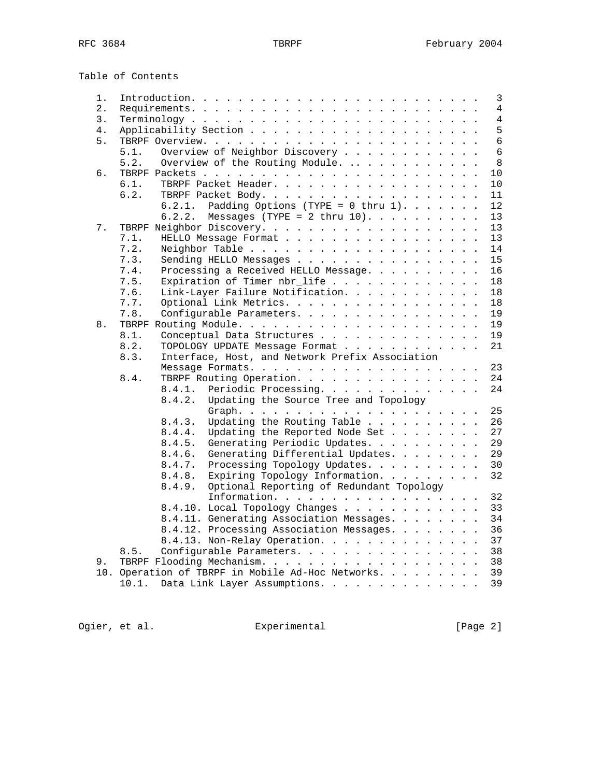Table of Contents

| 1.    |       |        |                                                   |  | $\mathbf{3}$   |
|-------|-------|--------|---------------------------------------------------|--|----------------|
| $2$ . |       |        |                                                   |  | 4              |
| 3.    |       |        |                                                   |  | $\overline{4}$ |
| 4.    |       |        |                                                   |  | 5              |
|       |       |        |                                                   |  |                |
| 5.    |       |        |                                                   |  | 6              |
|       | 5.1.  |        | Overview of Neighbor Discovery                    |  | 6              |
|       | 5.2.  |        | Overview of the Routing Module.                   |  | $\,8\,$        |
| б.    |       |        |                                                   |  | 10             |
|       | 6.1.  |        | TBRPF Packet Header.                              |  | 10             |
|       | 6.2.  |        | TBRPF Packet Body.                                |  | 11             |
|       |       | 6.2.1. | Padding Options (TYPE = $0$ thru 1).              |  | 12             |
|       |       | 6.2.2. |                                                   |  |                |
|       |       |        | Messages (TYPE = 2 thru $10$ ).                   |  | 13             |
| 7.    |       |        | TBRPF Neighbor Discovery.                         |  | 13             |
|       | 7.1.  |        | HELLO Message Format                              |  | 13             |
|       | 7.2.  |        | Neighbor Table                                    |  | 14             |
|       | 7.3.  |        | Sending HELLO Messages                            |  | 15             |
|       | 7.4.  |        | Processing a Received HELLO Message.              |  | 16             |
|       | 7.5.  |        | Expiration of Timer nbr_life                      |  | 18             |
|       | 7.6.  |        | Link-Layer Failure Notification.                  |  | 18             |
|       |       |        |                                                   |  |                |
|       | 7.7.  |        | Optional Link Metrics.                            |  | 18             |
|       | 7.8.  |        | Configurable Parameters.                          |  | 19             |
| 8.    |       |        |                                                   |  | 19             |
|       | 8.1.  |        | Conceptual Data Structures                        |  | 19             |
|       | 8.2.  |        | TOPOLOGY UPDATE Message Format                    |  | 21             |
|       | 8.3.  |        | Interface, Host, and Network Prefix Association   |  |                |
|       |       |        |                                                   |  | 23             |
|       | 8.4.  |        | TBRPF Routing Operation.                          |  | 24             |
|       |       | 8.4.1. | Periodic Processing.                              |  | 24             |
|       |       |        |                                                   |  |                |
|       |       | 8.4.2. | Updating the Source Tree and Topology             |  |                |
|       |       |        | Graph.                                            |  | 25             |
|       |       | 8.4.3. | Updating the Routing Table                        |  | 26             |
|       |       | 8.4.4. | Updating the Reported Node Set                    |  | 27             |
|       |       | 8.4.5. | Generating Periodic Updates.                      |  | 29             |
|       |       | 8.4.6. | Generating Differential Updates.                  |  | 29             |
|       |       | 8.4.7. | Processing Topology Updates.                      |  | 30             |
|       |       | 8.4.8. | Expiring Topology Information.                    |  | 32             |
|       |       | 8.4.9. | Optional Reporting of Redundant Topology          |  |                |
|       |       |        |                                                   |  |                |
|       |       |        | Information.                                      |  | 32             |
|       |       |        | 8.4.10. Local Topology Changes                    |  | 33             |
|       |       |        | 8.4.11. Generating Association Messages.          |  | 34             |
|       |       |        | 8.4.12. Processing Association Messages.          |  | 36             |
|       |       |        | 8.4.13. Non-Relay Operation.                      |  | 37             |
|       | 8.5.  |        | Configurable Parameters.                          |  | 38             |
| 9.    |       |        | TBRPF Flooding Mechanism.                         |  | 38             |
|       |       |        | 10. Operation of TBRPF in Mobile Ad-Hoc Networks. |  | 39             |
|       |       |        |                                                   |  |                |
|       | 10.1. |        | Data Link Layer Assumptions.                      |  | 39             |
|       |       |        |                                                   |  |                |

Ogier, et al. Experimental [Page 2]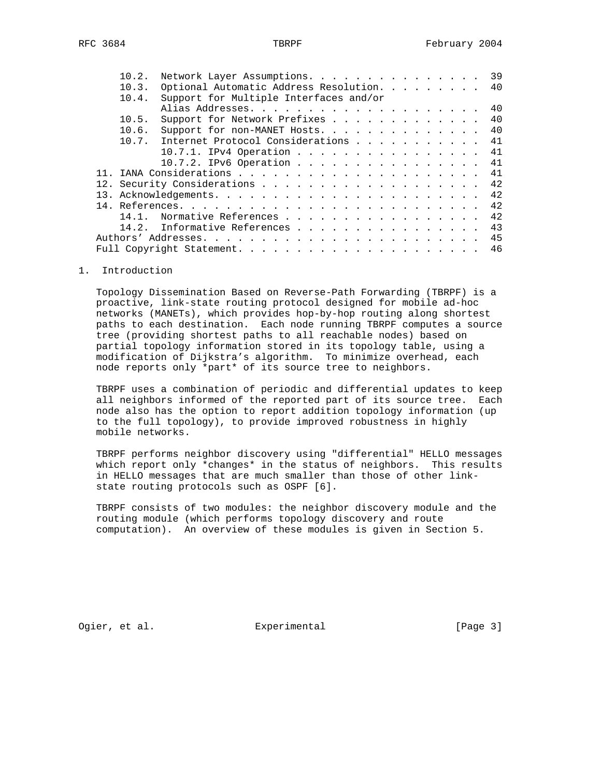| 10.2. | Network Layer Assumptions. 39          |  |  |    |
|-------|----------------------------------------|--|--|----|
| 10.3. | Optional Automatic Address Resolution. |  |  | 40 |
| 10.4. | Support for Multiple Interfaces and/or |  |  |    |
|       |                                        |  |  |    |
| 10.5. | Support for Network Prefixes           |  |  | 40 |
| 10.6. | Support for non-MANET Hosts. 40        |  |  |    |
| 10.7. | Internet Protocol Considerations 41    |  |  |    |
|       | 10.7.1. IPv4 Operation 41              |  |  |    |
|       | 10.7.2. IPv6 Operation 41              |  |  |    |
|       |                                        |  |  |    |
|       |                                        |  |  | 42 |
|       |                                        |  |  | 42 |
|       |                                        |  |  | 42 |
| 14 1  | Normative References 42                |  |  |    |
|       | 14.2. Informative References           |  |  | 43 |
|       |                                        |  |  | 45 |
|       |                                        |  |  | 46 |
|       |                                        |  |  |    |

### 1. Introduction

 Topology Dissemination Based on Reverse-Path Forwarding (TBRPF) is a proactive, link-state routing protocol designed for mobile ad-hoc networks (MANETs), which provides hop-by-hop routing along shortest paths to each destination. Each node running TBRPF computes a source tree (providing shortest paths to all reachable nodes) based on partial topology information stored in its topology table, using a modification of Dijkstra's algorithm. To minimize overhead, each node reports only \*part\* of its source tree to neighbors.

 TBRPF uses a combination of periodic and differential updates to keep all neighbors informed of the reported part of its source tree. Each node also has the option to report addition topology information (up to the full topology), to provide improved robustness in highly mobile networks.

 TBRPF performs neighbor discovery using "differential" HELLO messages which report only \*changes\* in the status of neighbors. This results in HELLO messages that are much smaller than those of other link state routing protocols such as OSPF [6].

 TBRPF consists of two modules: the neighbor discovery module and the routing module (which performs topology discovery and route computation). An overview of these modules is given in Section 5.

Ogier, et al. Subsection Experimental Contracts [Page 3]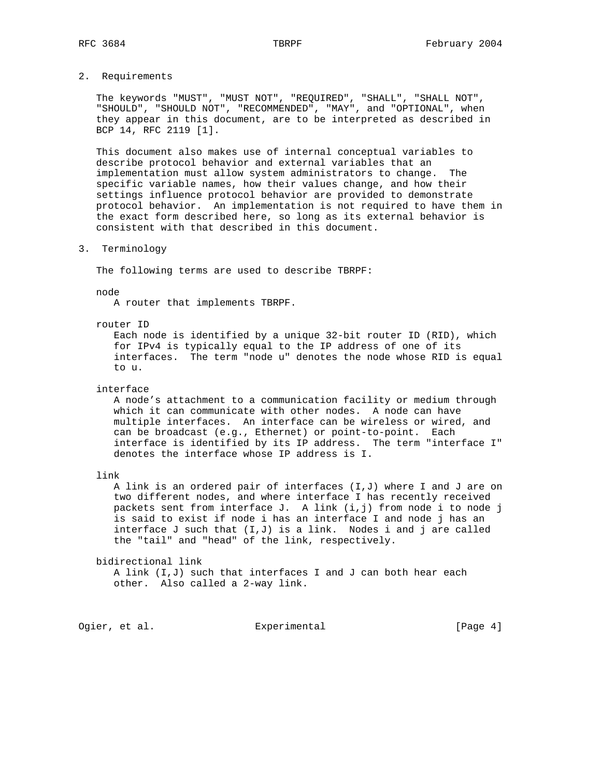# 2. Requirements

 The keywords "MUST", "MUST NOT", "REQUIRED", "SHALL", "SHALL NOT", "SHOULD", "SHOULD NOT", "RECOMMENDED", "MAY", and "OPTIONAL", when they appear in this document, are to be interpreted as described in BCP 14, RFC 2119 [1].

 This document also makes use of internal conceptual variables to describe protocol behavior and external variables that an implementation must allow system administrators to change. The specific variable names, how their values change, and how their settings influence protocol behavior are provided to demonstrate protocol behavior. An implementation is not required to have them in the exact form described here, so long as its external behavior is consistent with that described in this document.

3. Terminology

The following terms are used to describe TBRPF:

node

A router that implements TBRPF.

router ID

 Each node is identified by a unique 32-bit router ID (RID), which for IPv4 is typically equal to the IP address of one of its interfaces. The term "node u" denotes the node whose RID is equal to u.

interface

 A node's attachment to a communication facility or medium through which it can communicate with other nodes. A node can have multiple interfaces. An interface can be wireless or wired, and can be broadcast (e.g., Ethernet) or point-to-point. Each interface is identified by its IP address. The term "interface I" denotes the interface whose IP address is I.

link

 A link is an ordered pair of interfaces (I,J) where I and J are on two different nodes, and where interface I has recently received packets sent from interface J. A link (i,j) from node i to node j is said to exist if node i has an interface I and node j has an interface J such that (I,J) is a link. Nodes i and j are called the "tail" and "head" of the link, respectively.

bidirectional link

 A link (I,J) such that interfaces I and J can both hear each other. Also called a 2-way link.

Ogier, et al. Subsection Experimental Contracts [Page 4]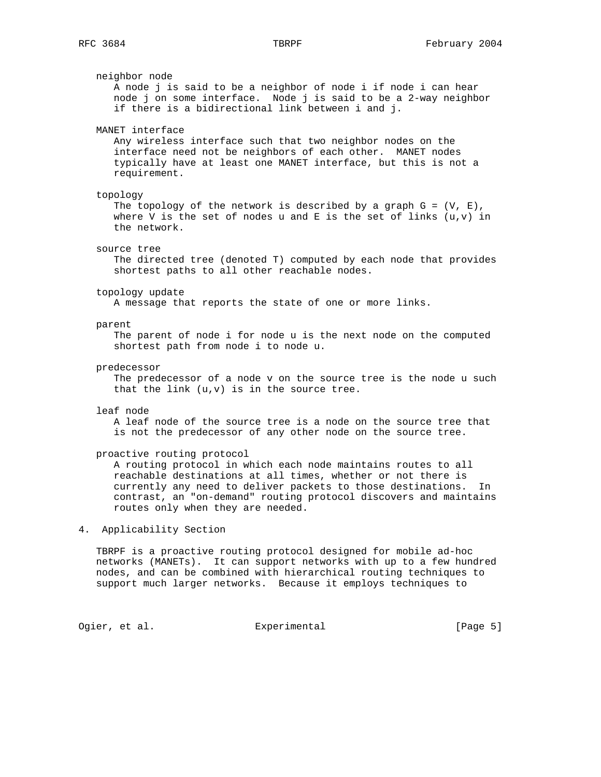neighbor node A node j is said to be a neighbor of node i if node i can hear node j on some interface. Node j is said to be a 2-way neighbor if there is a bidirectional link between i and j. MANET interface Any wireless interface such that two neighbor nodes on the interface need not be neighbors of each other. MANET nodes typically have at least one MANET interface, but this is not a requirement. topology The topology of the network is described by a graph  $G = (V, E)$ , where V is the set of nodes u and E is the set of links  $(u,v)$  in the network. source tree The directed tree (denoted T) computed by each node that provides shortest paths to all other reachable nodes. topology update A message that reports the state of one or more links. parent The parent of node i for node u is the next node on the computed shortest path from node i to node u. predecessor The predecessor of a node v on the source tree is the node u such that the link  $(u,v)$  is in the source tree. leaf node A leaf node of the source tree is a node on the source tree that is not the predecessor of any other node on the source tree. proactive routing protocol A routing protocol in which each node maintains routes to all reachable destinations at all times, whether or not there is currently any need to deliver packets to those destinations. In contrast, an "on-demand" routing protocol discovers and maintains routes only when they are needed. 4. Applicability Section TBRPF is a proactive routing protocol designed for mobile ad-hoc networks (MANETs). It can support networks with up to a few hundred nodes, and can be combined with hierarchical routing techniques to support much larger networks. Because it employs techniques to

Ogier, et al. Suite Experimental Contract (Page 5)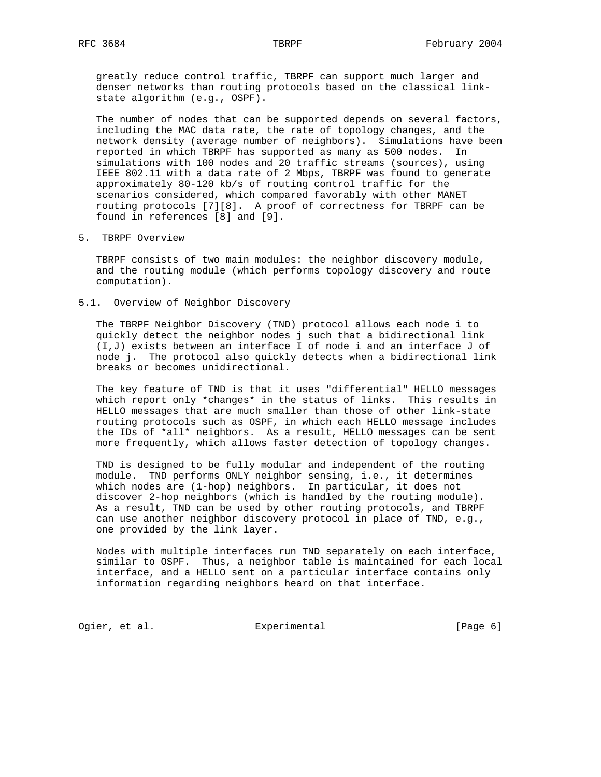greatly reduce control traffic, TBRPF can support much larger and denser networks than routing protocols based on the classical link state algorithm (e.g., OSPF).

 The number of nodes that can be supported depends on several factors, including the MAC data rate, the rate of topology changes, and the network density (average number of neighbors). Simulations have been reported in which TBRPF has supported as many as 500 nodes. In simulations with 100 nodes and 20 traffic streams (sources), using IEEE 802.11 with a data rate of 2 Mbps, TBRPF was found to generate approximately 80-120 kb/s of routing control traffic for the scenarios considered, which compared favorably with other MANET routing protocols [7][8]. A proof of correctness for TBRPF can be found in references [8] and [9].

5. TBRPF Overview

 TBRPF consists of two main modules: the neighbor discovery module, and the routing module (which performs topology discovery and route computation).

5.1. Overview of Neighbor Discovery

 The TBRPF Neighbor Discovery (TND) protocol allows each node i to quickly detect the neighbor nodes j such that a bidirectional link (I,J) exists between an interface I of node i and an interface J of node j. The protocol also quickly detects when a bidirectional link breaks or becomes unidirectional.

 The key feature of TND is that it uses "differential" HELLO messages which report only \*changes\* in the status of links. This results in HELLO messages that are much smaller than those of other link-state routing protocols such as OSPF, in which each HELLO message includes the IDs of \*all\* neighbors. As a result, HELLO messages can be sent more frequently, which allows faster detection of topology changes.

 TND is designed to be fully modular and independent of the routing module. TND performs ONLY neighbor sensing, i.e., it determines which nodes are (1-hop) neighbors. In particular, it does not discover 2-hop neighbors (which is handled by the routing module). As a result, TND can be used by other routing protocols, and TBRPF can use another neighbor discovery protocol in place of TND, e.g., one provided by the link layer.

 Nodes with multiple interfaces run TND separately on each interface, similar to OSPF. Thus, a neighbor table is maintained for each local interface, and a HELLO sent on a particular interface contains only information regarding neighbors heard on that interface.

Ogier, et al. Subsection Experimental Contracts [Page 6]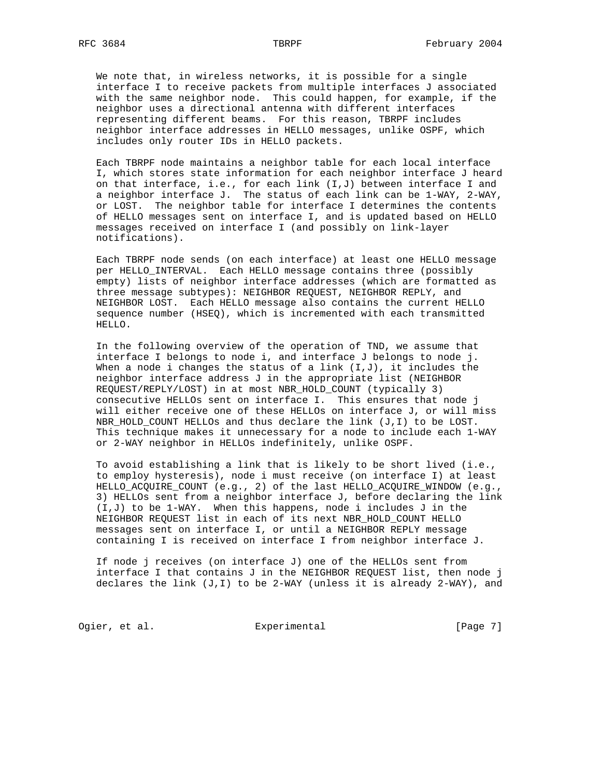We note that, in wireless networks, it is possible for a single interface I to receive packets from multiple interfaces J associated with the same neighbor node. This could happen, for example, if the neighbor uses a directional antenna with different interfaces representing different beams. For this reason, TBRPF includes neighbor interface addresses in HELLO messages, unlike OSPF, which includes only router IDs in HELLO packets.

 Each TBRPF node maintains a neighbor table for each local interface I, which stores state information for each neighbor interface J heard on that interface, i.e., for each link (I,J) between interface I and a neighbor interface J. The status of each link can be 1-WAY, 2-WAY, or LOST. The neighbor table for interface I determines the contents of HELLO messages sent on interface I, and is updated based on HELLO messages received on interface I (and possibly on link-layer notifications).

 Each TBRPF node sends (on each interface) at least one HELLO message per HELLO\_INTERVAL. Each HELLO message contains three (possibly empty) lists of neighbor interface addresses (which are formatted as three message subtypes): NEIGHBOR REQUEST, NEIGHBOR REPLY, and NEIGHBOR LOST. Each HELLO message also contains the current HELLO sequence number (HSEQ), which is incremented with each transmitted HELLO.

 In the following overview of the operation of TND, we assume that interface I belongs to node i, and interface J belongs to node j. When a node i changes the status of a link  $(I,J)$ , it includes the neighbor interface address J in the appropriate list (NEIGHBOR REQUEST/REPLY/LOST) in at most NBR\_HOLD\_COUNT (typically 3) consecutive HELLOs sent on interface I. This ensures that node j will either receive one of these HELLOs on interface J, or will miss NBR\_HOLD\_COUNT HELLOs and thus declare the link (J,I) to be LOST. This technique makes it unnecessary for a node to include each 1-WAY or 2-WAY neighbor in HELLOs indefinitely, unlike OSPF.

 To avoid establishing a link that is likely to be short lived (i.e., to employ hysteresis), node i must receive (on interface I) at least HELLO\_ACQUIRE\_COUNT (e.g., 2) of the last HELLO\_ACQUIRE\_WINDOW (e.g., 3) HELLOs sent from a neighbor interface J, before declaring the link (I,J) to be 1-WAY. When this happens, node i includes J in the NEIGHBOR REQUEST list in each of its next NBR\_HOLD\_COUNT HELLO messages sent on interface I, or until a NEIGHBOR REPLY message containing I is received on interface I from neighbor interface J.

 If node j receives (on interface J) one of the HELLOs sent from interface I that contains J in the NEIGHBOR REQUEST list, then node j declares the link  $(J,I)$  to be 2-WAY (unless it is already 2-WAY), and

Ogier, et al. Superimental Experimental [Page 7]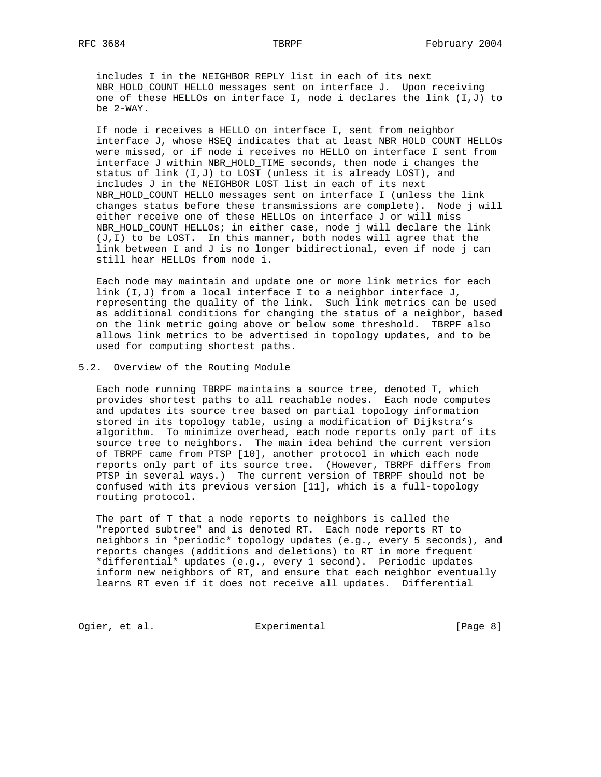includes I in the NEIGHBOR REPLY list in each of its next NBR\_HOLD\_COUNT HELLO messages sent on interface J. Upon receiving one of these HELLOs on interface I, node i declares the link (I,J) to be 2-WAY.

 If node i receives a HELLO on interface I, sent from neighbor interface J, whose HSEQ indicates that at least NBR\_HOLD\_COUNT HELLOs were missed, or if node i receives no HELLO on interface I sent from interface J within NBR\_HOLD\_TIME seconds, then node i changes the status of link (I,J) to LOST (unless it is already LOST), and includes J in the NEIGHBOR LOST list in each of its next NBR\_HOLD\_COUNT HELLO messages sent on interface I (unless the link changes status before these transmissions are complete). Node j will either receive one of these HELLOs on interface J or will miss NBR HOLD\_COUNT HELLOs; in either case, node j will declare the link (J,I) to be LOST. In this manner, both nodes will agree that the link between I and J is no longer bidirectional, even if node j can still hear HELLOs from node i.

 Each node may maintain and update one or more link metrics for each link (I,J) from a local interface I to a neighbor interface J, representing the quality of the link. Such link metrics can be used as additional conditions for changing the status of a neighbor, based on the link metric going above or below some threshold. TBRPF also allows link metrics to be advertised in topology updates, and to be used for computing shortest paths.

### 5.2. Overview of the Routing Module

 Each node running TBRPF maintains a source tree, denoted T, which provides shortest paths to all reachable nodes. Each node computes and updates its source tree based on partial topology information stored in its topology table, using a modification of Dijkstra's algorithm. To minimize overhead, each node reports only part of its source tree to neighbors. The main idea behind the current version of TBRPF came from PTSP [10], another protocol in which each node reports only part of its source tree. (However, TBRPF differs from PTSP in several ways.) The current version of TBRPF should not be confused with its previous version [11], which is a full-topology routing protocol.

 The part of T that a node reports to neighbors is called the "reported subtree" and is denoted RT. Each node reports RT to neighbors in \*periodic\* topology updates (e.g., every 5 seconds), and reports changes (additions and deletions) to RT in more frequent \*differential\* updates (e.g., every 1 second). Periodic updates inform new neighbors of RT, and ensure that each neighbor eventually learns RT even if it does not receive all updates. Differential

Ogier, et al. Superimental Experimental [Page 8]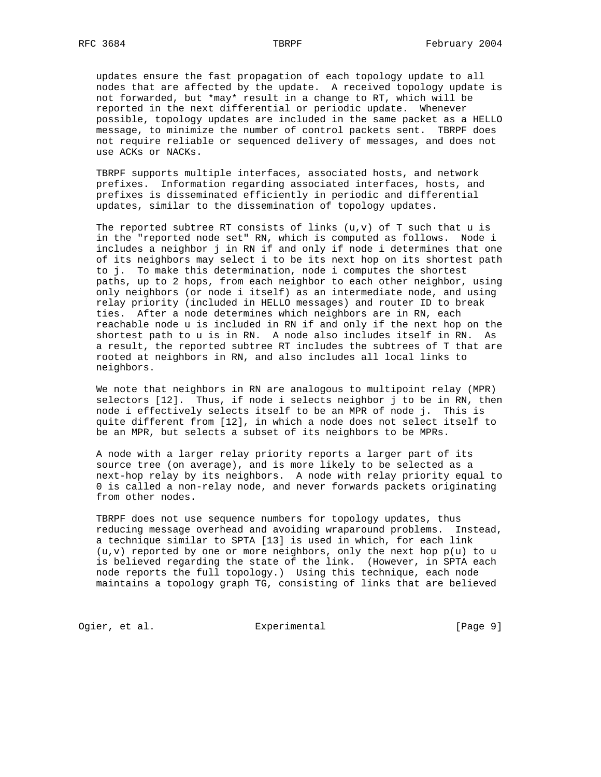updates ensure the fast propagation of each topology update to all nodes that are affected by the update. A received topology update is not forwarded, but \*may\* result in a change to RT, which will be reported in the next differential or periodic update. Whenever possible, topology updates are included in the same packet as a HELLO message, to minimize the number of control packets sent. TBRPF does not require reliable or sequenced delivery of messages, and does not use ACKs or NACKs.

 TBRPF supports multiple interfaces, associated hosts, and network prefixes. Information regarding associated interfaces, hosts, and prefixes is disseminated efficiently in periodic and differential updates, similar to the dissemination of topology updates.

The reported subtree RT consists of links  $(u,v)$  of T such that  $u$  is in the "reported node set" RN, which is computed as follows. Node i includes a neighbor j in RN if and only if node i determines that one of its neighbors may select i to be its next hop on its shortest path to j. To make this determination, node i computes the shortest paths, up to 2 hops, from each neighbor to each other neighbor, using only neighbors (or node i itself) as an intermediate node, and using relay priority (included in HELLO messages) and router ID to break ties. After a node determines which neighbors are in RN, each reachable node u is included in RN if and only if the next hop on the shortest path to u is in RN. A node also includes itself in RN. As a result, the reported subtree RT includes the subtrees of T that are rooted at neighbors in RN, and also includes all local links to neighbors.

 We note that neighbors in RN are analogous to multipoint relay (MPR) selectors [12]. Thus, if node i selects neighbor j to be in RN, then node i effectively selects itself to be an MPR of node j. This is quite different from [12], in which a node does not select itself to be an MPR, but selects a subset of its neighbors to be MPRs.

 A node with a larger relay priority reports a larger part of its source tree (on average), and is more likely to be selected as a next-hop relay by its neighbors. A node with relay priority equal to 0 is called a non-relay node, and never forwards packets originating from other nodes.

 TBRPF does not use sequence numbers for topology updates, thus reducing message overhead and avoiding wraparound problems. Instead, a technique similar to SPTA [13] is used in which, for each link  $(u,v)$  reported by one or more neighbors, only the next hop  $p(u)$  to u is believed regarding the state of the link. (However, in SPTA each node reports the full topology.) Using this technique, each node maintains a topology graph TG, consisting of links that are believed

Ogier, et al. Subsection Experimental Contract (Page 9)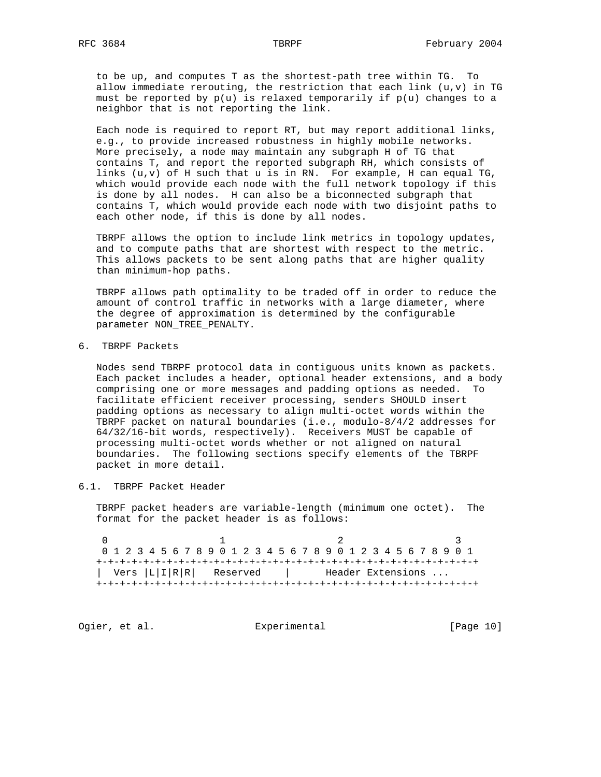to be up, and computes T as the shortest-path tree within TG. To allow immediate rerouting, the restriction that each link  $(u,v)$  in TG must be reported by  $p(u)$  is relaxed temporarily if  $p(u)$  changes to a neighbor that is not reporting the link.

 Each node is required to report RT, but may report additional links, e.g., to provide increased robustness in highly mobile networks. More precisely, a node may maintain any subgraph H of TG that contains T, and report the reported subgraph RH, which consists of links  $(u,v)$  of H such that  $u$  is in RN. For example, H can equal TG, which would provide each node with the full network topology if this is done by all nodes. H can also be a biconnected subgraph that contains T, which would provide each node with two disjoint paths to each other node, if this is done by all nodes.

 TBRPF allows the option to include link metrics in topology updates, and to compute paths that are shortest with respect to the metric. This allows packets to be sent along paths that are higher quality than minimum-hop paths.

 TBRPF allows path optimality to be traded off in order to reduce the amount of control traffic in networks with a large diameter, where the degree of approximation is determined by the configurable parameter NON\_TREE\_PENALTY.

6. TBRPF Packets

 Nodes send TBRPF protocol data in contiguous units known as packets. Each packet includes a header, optional header extensions, and a body comprising one or more messages and padding options as needed. To facilitate efficient receiver processing, senders SHOULD insert padding options as necessary to align multi-octet words within the TBRPF packet on natural boundaries (i.e., modulo-8/4/2 addresses for 64/32/16-bit words, respectively). Receivers MUST be capable of processing multi-octet words whether or not aligned on natural boundaries. The following sections specify elements of the TBRPF packet in more detail.

6.1. TBRPF Packet Header

 TBRPF packet headers are variable-length (minimum one octet). The format for the packet header is as follows:

0  $1$  2 3 0 1 2 3 4 5 6 7 8 9 0 1 2 3 4 5 6 7 8 9 0 1 2 3 4 5 6 7 8 9 0 1 +-+-+-+-+-+-+-+-+-+-+-+-+-+-+-+-+-+-+-+-+-+-+-+-+-+-+-+-+-+-+-+-+ | Vers |L|I|R|R| Reserved | Header Extensions ... +-+-+-+-+-+-+-+-+-+-+-+-+-+-+-+-+-+-+-+-+-+-+-+-+-+-+-+-+-+-+-+-+

Ogier, et al. Subsection Experimental Contract (Page 10)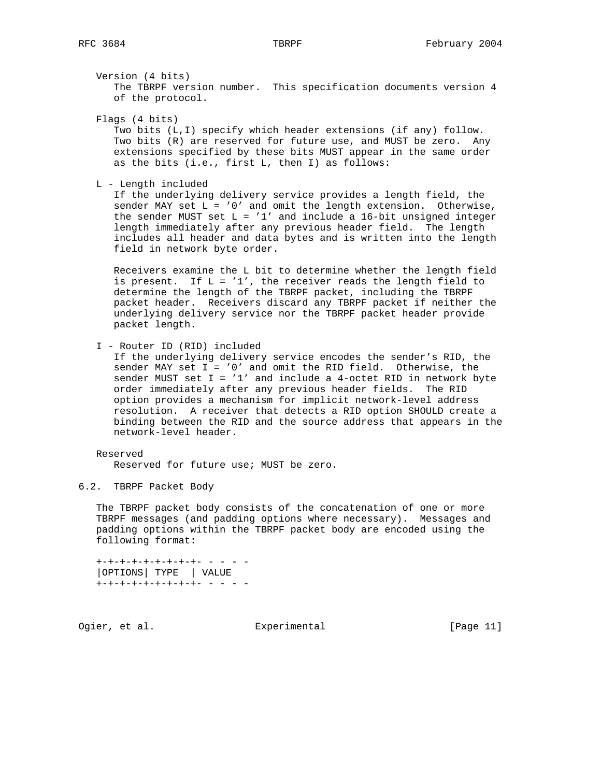Version (4 bits)

 The TBRPF version number. This specification documents version 4 of the protocol.

Flags (4 bits)

 Two bits (L,I) specify which header extensions (if any) follow. Two bits (R) are reserved for future use, and MUST be zero. Any extensions specified by these bits MUST appear in the same order as the bits (i.e., first L, then I) as follows:

L - Length included

 If the underlying delivery service provides a length field, the sender MAY set L = '0' and omit the length extension. Otherwise, the sender MUST set  $L = '1'$  and include a 16-bit unsigned integer length immediately after any previous header field. The length includes all header and data bytes and is written into the length field in network byte order.

 Receivers examine the L bit to determine whether the length field is present. If  $L = '1'$ , the receiver reads the length field to determine the length of the TBRPF packet, including the TBRPF packet header. Receivers discard any TBRPF packet if neither the underlying delivery service nor the TBRPF packet header provide packet length.

I - Router ID (RID) included

 If the underlying delivery service encodes the sender's RID, the sender MAY set I = '0' and omit the RID field. Otherwise, the sender MUST set I = '1' and include a 4-octet RID in network byte order immediately after any previous header fields. The RID option provides a mechanism for implicit network-level address resolution. A receiver that detects a RID option SHOULD create a binding between the RID and the source address that appears in the network-level header.

# Reserved

Reserved for future use; MUST be zero.

### 6.2. TBRPF Packet Body

 The TBRPF packet body consists of the concatenation of one or more TBRPF messages (and padding options where necessary). Messages and padding options within the TBRPF packet body are encoded using the following format:

 +-+-+-+-+-+-+-+-+- - - - - |OPTIONS| TYPE | VALUE  $+ - + - + - + - + - + - + - + -$  - - -

Ogier, et al. Subsection Experimental Contracts [Page 11]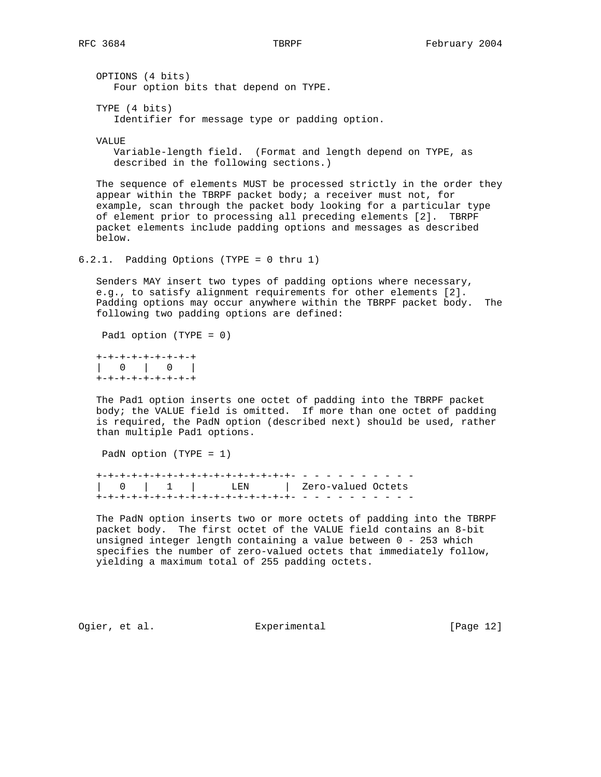OPTIONS (4 bits) Four option bits that depend on TYPE.

 TYPE (4 bits) Identifier for message type or padding option.

**VALUE** 

 Variable-length field. (Format and length depend on TYPE, as described in the following sections.)

 The sequence of elements MUST be processed strictly in the order they appear within the TBRPF packet body; a receiver must not, for example, scan through the packet body looking for a particular type of element prior to processing all preceding elements [2]. TBRPF packet elements include padding options and messages as described below.

6.2.1. Padding Options (TYPE = 0 thru 1)

 Senders MAY insert two types of padding options where necessary, e.g., to satisfy alignment requirements for other elements [2]. Padding options may occur anywhere within the TBRPF packet body. The following two padding options are defined:

Pad1 option (TYPE = 0)

 +-+-+-+-+-+-+-+-+ | 0 | 0 | +-+-+-+-+-+-+-+-+

 The Pad1 option inserts one octet of padding into the TBRPF packet body; the VALUE field is omitted. If more than one octet of padding is required, the PadN option (described next) should be used, rather than multiple Pad1 options.

PadN option (TYPE = 1)

 +-+-+-+-+-+-+-+-+-+-+-+-+-+-+-+-+- - - - - - - - - - - | 0 | 1 | LEN | Zero-valued Octets +-+-+-+-+-+-+-+-+-+-+-+-+-+-+-+-+- - - - - - - - - - -

 The PadN option inserts two or more octets of padding into the TBRPF packet body. The first octet of the VALUE field contains an 8-bit unsigned integer length containing a value between 0 - 253 which specifies the number of zero-valued octets that immediately follow, yielding a maximum total of 255 padding octets.

Ogier, et al. Subsection Experimental (Page 12)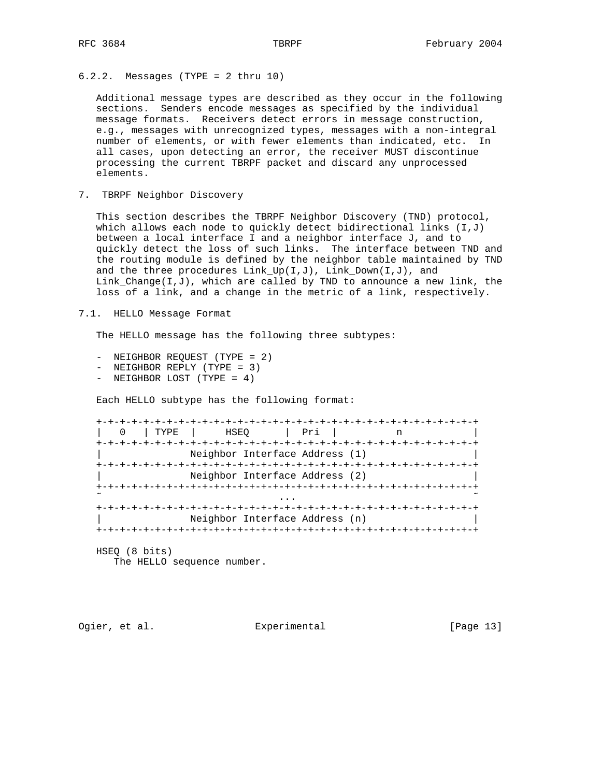6.2.2. Messages (TYPE = 2 thru 10)

 Additional message types are described as they occur in the following sections. Senders encode messages as specified by the individual message formats. Receivers detect errors in message construction, e.g., messages with unrecognized types, messages with a non-integral number of elements, or with fewer elements than indicated, etc. In all cases, upon detecting an error, the receiver MUST discontinue processing the current TBRPF packet and discard any unprocessed elements.

7. TBRPF Neighbor Discovery

 This section describes the TBRPF Neighbor Discovery (TND) protocol, which allows each node to quickly detect bidirectional links  $(I,J)$  between a local interface I and a neighbor interface J, and to quickly detect the loss of such links. The interface between TND and the routing module is defined by the neighbor table maintained by TND and the three procedures  $Link_Up(I,J)$ ,  $Link_Down(I,J)$ , and Link\_Change( $I,J$ ), which are called by TND to announce a new link, the loss of a link, and a change in the metric of a link, respectively.

7.1. HELLO Message Format

The HELLO message has the following three subtypes:

- NEIGHBOR REQUEST (TYPE = 2)
- NEIGHBOR REPLY (TYPE = 3)
- NEIGHBOR LOST (TYPE = 4)

Each HELLO subtype has the following format:

| TYPE                           | HSEO                           | ∣ Pri |  |  |  |  |  |  |  |
|--------------------------------|--------------------------------|-------|--|--|--|--|--|--|--|
|                                |                                |       |  |  |  |  |  |  |  |
| Neighbor Interface Address (1) |                                |       |  |  |  |  |  |  |  |
|                                |                                |       |  |  |  |  |  |  |  |
| Neighbor Interface Address (2) |                                |       |  |  |  |  |  |  |  |
|                                |                                |       |  |  |  |  |  |  |  |
|                                |                                |       |  |  |  |  |  |  |  |
|                                |                                |       |  |  |  |  |  |  |  |
|                                | Neighbor Interface Address (n) |       |  |  |  |  |  |  |  |
|                                |                                |       |  |  |  |  |  |  |  |

HSEQ (8 bits)

The HELLO sequence number.

Ogier, et al. Subsection Experimental Contracts [Page 13]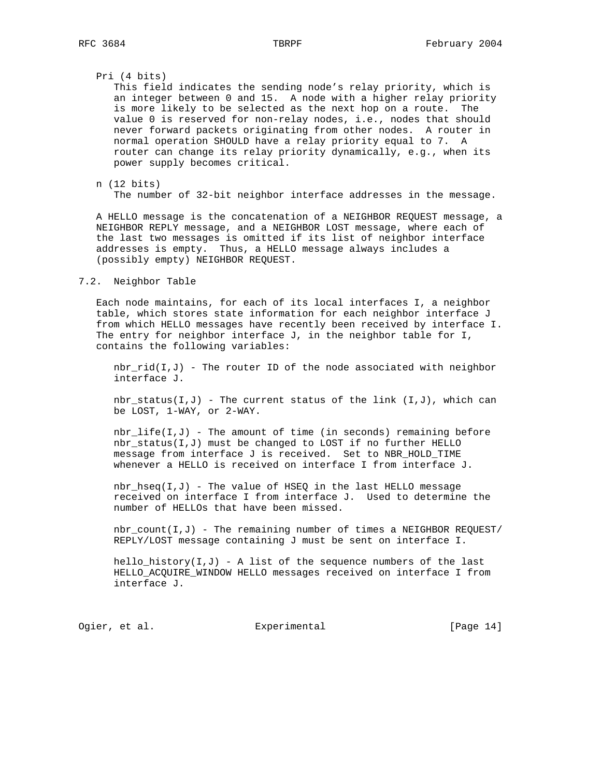### Pri (4 bits)

 This field indicates the sending node's relay priority, which is an integer between 0 and 15. A node with a higher relay priority is more likely to be selected as the next hop on a route. The value 0 is reserved for non-relay nodes, i.e., nodes that should never forward packets originating from other nodes. A router in normal operation SHOULD have a relay priority equal to 7. A router can change its relay priority dynamically, e.g., when its power supply becomes critical.

### n (12 bits)

The number of 32-bit neighbor interface addresses in the message.

 A HELLO message is the concatenation of a NEIGHBOR REQUEST message, a NEIGHBOR REPLY message, and a NEIGHBOR LOST message, where each of the last two messages is omitted if its list of neighbor interface addresses is empty. Thus, a HELLO message always includes a (possibly empty) NEIGHBOR REQUEST.

### 7.2. Neighbor Table

 Each node maintains, for each of its local interfaces I, a neighbor table, which stores state information for each neighbor interface J from which HELLO messages have recently been received by interface I. The entry for neighbor interface J, in the neighbor table for I, contains the following variables:

 $nbr\_rid(I,J)$  - The router ID of the node associated with neighbor interface J.

nbr\_status(I,J) - The current status of the link  $(I,J)$ , which can be LOST, 1-WAY, or 2-WAY.

 $nbr\_life(I,J)$  - The amount of time (in seconds) remaining before nbr\_status(I,J) must be changed to LOST if no further HELLO message from interface J is received. Set to NBR\_HOLD\_TIME whenever a HELLO is received on interface I from interface J.

nbr\_hseq( $I,J$ ) - The value of HSEQ in the last HELLO message received on interface I from interface J. Used to determine the number of HELLOs that have been missed.

 nbr\_count(I,J) - The remaining number of times a NEIGHBOR REQUEST/ REPLY/LOST message containing J must be sent on interface I.

hello\_history( $I,J$ ) - A list of the sequence numbers of the last HELLO\_ACQUIRE\_WINDOW HELLO messages received on interface I from interface J.

Ogier, et al. Subsection Experimental Contracts [Page 14]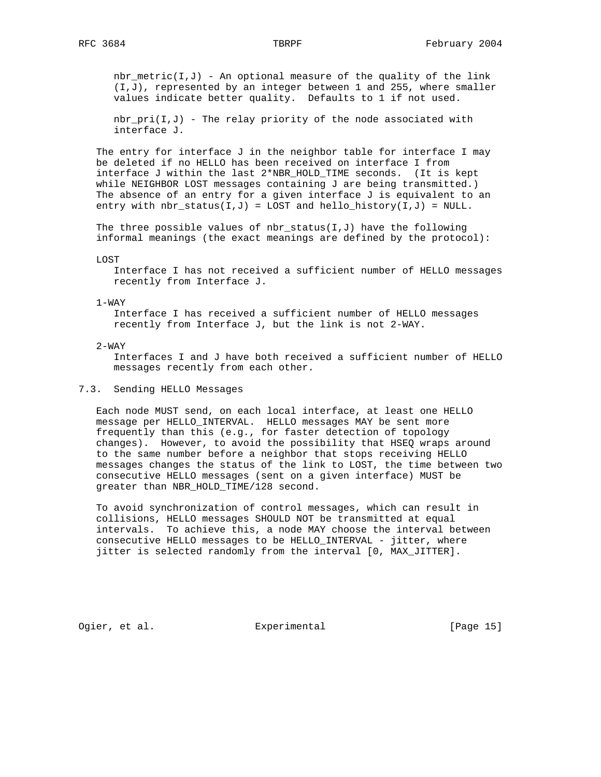$nbr\_metric(I,J)$  - An optional measure of the quality of the link (I,J), represented by an integer between 1 and 255, where smaller values indicate better quality. Defaults to 1 if not used.

 nbr\_pri(I,J) - The relay priority of the node associated with interface J.

The entry for interface J in the neighbor table for interface I may be deleted if no HELLO has been received on interface I from interface J within the last 2\*NBR HOLD TIME seconds. (It is kept while NEIGHBOR LOST messages containing J are being transmitted.) The absence of an entry for a given interface J is equivalent to an entry with  $nbr\_status(I,J) = LOST$  and  $hello\_history(I,J) = NULL$ .

The three possible values of nbr\_status( $I,J$ ) have the following informal meanings (the exact meanings are defined by the protocol):

LOST

 Interface I has not received a sufficient number of HELLO messages recently from Interface J.

### 1-WAY

 Interface I has received a sufficient number of HELLO messages recently from Interface J, but the link is not 2-WAY.

### 2-WAY

 Interfaces I and J have both received a sufficient number of HELLO messages recently from each other.

# 7.3. Sending HELLO Messages

 Each node MUST send, on each local interface, at least one HELLO message per HELLO\_INTERVAL. HELLO messages MAY be sent more frequently than this (e.g., for faster detection of topology changes). However, to avoid the possibility that HSEQ wraps around to the same number before a neighbor that stops receiving HELLO messages changes the status of the link to LOST, the time between two consecutive HELLO messages (sent on a given interface) MUST be greater than NBR\_HOLD\_TIME/128 second.

 To avoid synchronization of control messages, which can result in collisions, HELLO messages SHOULD NOT be transmitted at equal intervals. To achieve this, a node MAY choose the interval between consecutive HELLO messages to be HELLO\_INTERVAL - jitter, where jitter is selected randomly from the interval [0, MAX\_JITTER].

Ogier, et al. Suite Experimental Contract (Page 15)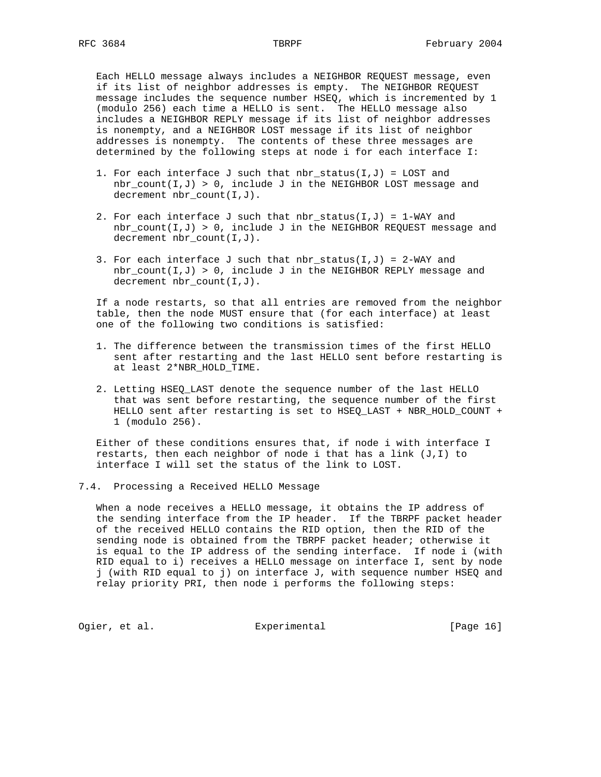Each HELLO message always includes a NEIGHBOR REQUEST message, even if its list of neighbor addresses is empty. The NEIGHBOR REQUEST message includes the sequence number HSEQ, which is incremented by 1 (modulo 256) each time a HELLO is sent. The HELLO message also includes a NEIGHBOR REPLY message if its list of neighbor addresses is nonempty, and a NEIGHBOR LOST message if its list of neighbor addresses is nonempty. The contents of these three messages are determined by the following steps at node i for each interface I:

- 1. For each interface J such that  $nbr\_status(I,J) = LOST$  and  $nbr\_count(I,J) > 0$ , include J in the NEIGHBOR LOST message and decrement nbr\_count(I,J).
- 2. For each interface J such that  $nbr\_status(I,J) = 1-WAY$  and  $nbr\_count(I,J) > 0$ , include J in the NEIGHBOR REQUEST message and decrement nbr\_count(I,J).
- 3. For each interface J such that nbr\_status(I,J) = 2-WAY and  $nbr\_count(I,J) > 0$ , include J in the NEIGHBOR REPLY message and decrement nbr\_count(I,J).

 If a node restarts, so that all entries are removed from the neighbor table, then the node MUST ensure that (for each interface) at least one of the following two conditions is satisfied:

- 1. The difference between the transmission times of the first HELLO sent after restarting and the last HELLO sent before restarting is at least 2\*NBR\_HOLD\_TIME.
- 2. Letting HSEQ\_LAST denote the sequence number of the last HELLO that was sent before restarting, the sequence number of the first HELLO sent after restarting is set to HSEQ\_LAST + NBR\_HOLD\_COUNT + 1 (modulo 256).

 Either of these conditions ensures that, if node i with interface I restarts, then each neighbor of node i that has a link (J,I) to interface I will set the status of the link to LOST.

7.4. Processing a Received HELLO Message

 When a node receives a HELLO message, it obtains the IP address of the sending interface from the IP header. If the TBRPF packet header of the received HELLO contains the RID option, then the RID of the sending node is obtained from the TBRPF packet header; otherwise it is equal to the IP address of the sending interface. If node i (with RID equal to i) receives a HELLO message on interface I, sent by node j (with RID equal to j) on interface J, with sequence number HSEQ and relay priority PRI, then node i performs the following steps:

Ogier, et al. **Experimental** [Page 16]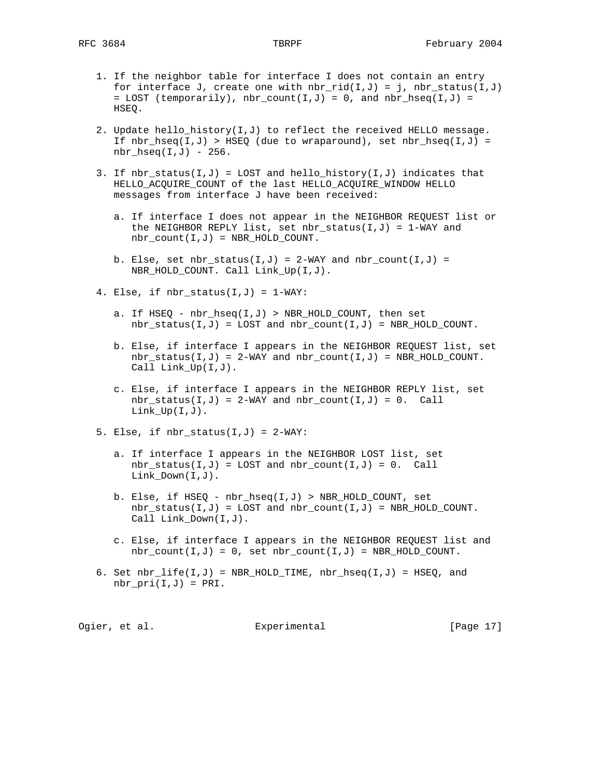- 1. If the neighbor table for interface I does not contain an entry for interface J, create one with  $nbr\_rid(I,J) = j$ ,  $nbr\_status(I,J)$ = LOST (temporarily),  $nbr\_count(I,J) = 0$ , and  $nbr\_hseq(I,J) =$ HSEQ.
- 2. Update hello\_history( $I,J$ ) to reflect the received HELLO message. If  $nbr\_hseq(I,J)$  > HSEQ (due to wraparound), set  $nbr\_hseq(I,J)$  =  $nbr\_hseq(I,J) - 256$ .
- 3. If nbr status(I,J) = LOST and hello history(I,J) indicates that HELLO\_ACQUIRE\_COUNT of the last HELLO\_ACQUIRE\_WINDOW HELLO messages from interface J have been received:
	- a. If interface I does not appear in the NEIGHBOR REQUEST list or the NEIGHBOR REPLY list, set nbr\_status(I,J) =  $1-WAY$  and  $nbr\_count(I,J) = NBR_HOLD\_COUNT$ .
	- b. Else, set nbr\_status( $I,J$ ) = 2-WAY and nbr\_count( $I,J$ ) = NBR\_HOLD\_COUNT. Call Link\_Up(I,J).
- 4. Else, if nbr\_status(I,J) = 1-WAY:
	- a. If HSEQ nbr\_hseq(I,J) > NBR\_HOLD\_COUNT, then set  $nbr\_status(I,J) = LOGT and nbr\_count(I,J) = NBR_HOLD_CCOUNT$ .
	- b. Else, if interface I appears in the NEIGHBOR REQUEST list, set  $nbr\_status(I,J) = 2-WAY$  and  $nbr\_count(I,J) = NBR_HOLD\_COUNT$ . Call Link\_Up(I,J).
	- c. Else, if interface I appears in the NEIGHBOR REPLY list, set nbr status(I,J) = 2-WAY and nbr count(I,J) = 0. Call  $Link_Up(I,J)$ .
- 5. Else, if nbr\_status(I,J) = 2-WAY:
	- a. If interface I appears in the NEIGHBOR LOST list, set  $nbr\_status(I,J) = LOST$  and  $nbr\_count(I,J) = 0$ . Call Link\_Down(I,J).
	- b. Else, if HSEQ nbr\_hseq(I,J) > NBR\_HOLD\_COUNT, set  $nbr\_status(I,J) = LOST and nbr\_count(I,J) = NBR_HOLD_COUNT.$ Call Link\_Down(I,J).
	- c. Else, if interface I appears in the NEIGHBOR REQUEST list and  $nbr\_count(I,J) = 0$ , set  $nbr\_count(I,J) = NBR\_HOLD\_COUNT$ .
- 6. Set  $nbr\_life(I,J)$  = NBR\_HOLD\_TIME,  $nbr\_hseq(I,J)$  = HSEQ, and  $nbr\_pri(I,J) = PRI.$

Ogier, et al. Suite Experimental Contract (Page 17)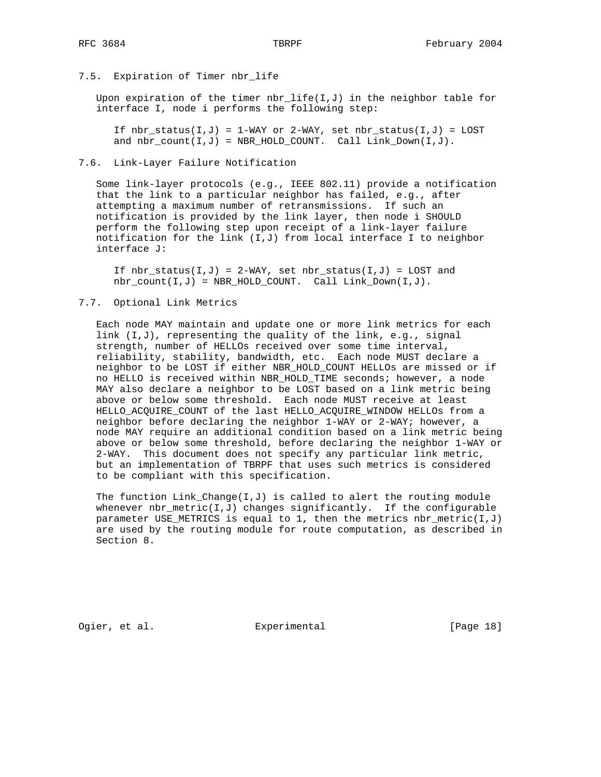# 7.5. Expiration of Timer nbr\_life

Upon expiration of the timer  $nbr\_life(I,J)$  in the neighbor table for interface I, node i performs the following step:

If  $nbr\_status(I,J) = 1-WAY$  or 2-WAY, set  $nbr\_status(I,J) = LOST$ and  $nbr\_count(I,J)$  = NBR\_HOLD\_COUNT. Call  $Link\_Down(I,J)$ .

# 7.6. Link-Layer Failure Notification

 Some link-layer protocols (e.g., IEEE 802.11) provide a notification that the link to a particular neighbor has failed, e.g., after attempting a maximum number of retransmissions. If such an notification is provided by the link layer, then node i SHOULD perform the following step upon receipt of a link-layer failure notification for the link  $(I,J)$  from local interface I to neighbor interface J:

If  $nbr\_status(I,J) = 2-WAY$ , set  $nbr\_status(I,J) = LOST$  and  $nbr\_count(I,J)$  = NBR\_HOLD\_COUNT. Call Link\_Down(I,J).

# 7.7. Optional Link Metrics

 Each node MAY maintain and update one or more link metrics for each link (I,J), representing the quality of the link, e.g., signal strength, number of HELLOs received over some time interval, reliability, stability, bandwidth, etc. Each node MUST declare a neighbor to be LOST if either NBR\_HOLD\_COUNT HELLOs are missed or if no HELLO is received within NBR\_HOLD\_TIME seconds; however, a node MAY also declare a neighbor to be LOST based on a link metric being above or below some threshold. Each node MUST receive at least HELLO\_ACQUIRE\_COUNT of the last HELLO\_ACQUIRE\_WINDOW HELLOs from a neighbor before declaring the neighbor 1-WAY or 2-WAY; however, a node MAY require an additional condition based on a link metric being above or below some threshold, before declaring the neighbor 1-WAY or 2-WAY. This document does not specify any particular link metric, but an implementation of TBRPF that uses such metrics is considered to be compliant with this specification.

The function  $Link\_Change(I,J)$  is called to alert the routing module whenever nbr\_metric(I,J) changes significantly. If the configurable parameter USE\_METRICS is equal to 1, then the metrics nbr\_metric( $I,J$ ) are used by the routing module for route computation, as described in Section 8.

Ogier, et al. Subsection Experimental Contracts [Page 18]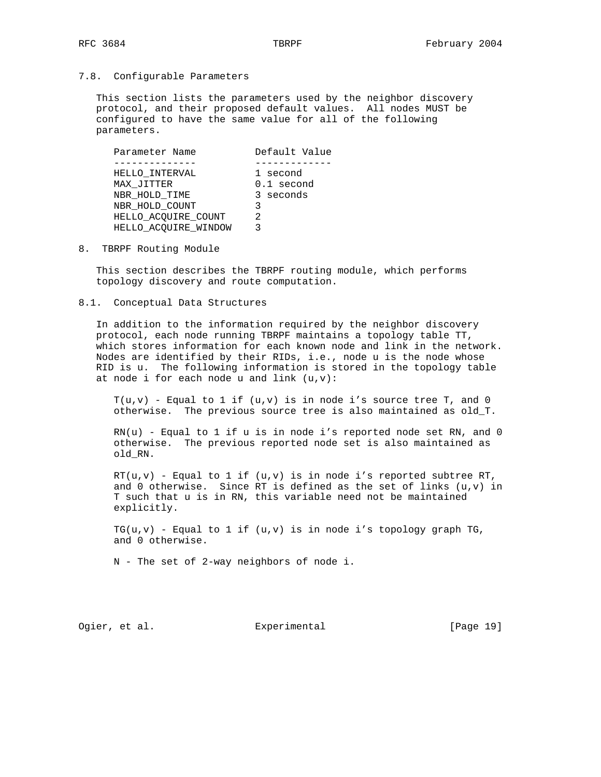# 7.8. Configurable Parameters

 This section lists the parameters used by the neighbor discovery protocol, and their proposed default values. All nodes MUST be configured to have the same value for all of the following parameters.

| Parameter Name       | Default Value |
|----------------------|---------------|
|                      |               |
| HELLO INTERVAL       | 1 second      |
| MAX JITTER           | 0.1 second    |
| NBR HOLD TIME        | 3 seconds     |
| NBR HOLD COUNT       | 3             |
| HELLO_ACQUIRE_COUNT  | 2             |
| HELLO_ACQUIRE_WINDOW |               |

8. TBRPF Routing Module

 This section describes the TBRPF routing module, which performs topology discovery and route computation.

8.1. Conceptual Data Structures

 In addition to the information required by the neighbor discovery protocol, each node running TBRPF maintains a topology table TT, which stores information for each known node and link in the network. Nodes are identified by their RIDs, i.e., node u is the node whose RID is u. The following information is stored in the topology table at node i for each node u and link  $(u,v)$ :

 $T(u,v)$  - Equal to 1 if  $(u,v)$  is in node i's source tree T, and 0 otherwise. The previous source tree is also maintained as old\_T.

 $RN(u)$  - Equal to 1 if  $u$  is in node i's reported node set RN, and 0 otherwise. The previous reported node set is also maintained as old\_RN.

 $RT(u,v)$  - Equal to 1 if  $(u,v)$  is in node i's reported subtree RT, and 0 otherwise. Since RT is defined as the set of links  $(u,v)$  in T such that u is in RN, this variable need not be maintained explicitly.

 $TG(u,v)$  - Equal to 1 if  $(u,v)$  is in node i's topology graph TG, and 0 otherwise.

N - The set of 2-way neighbors of node i.

Ogier, et al. Subsection Experimental Contract (Page 19)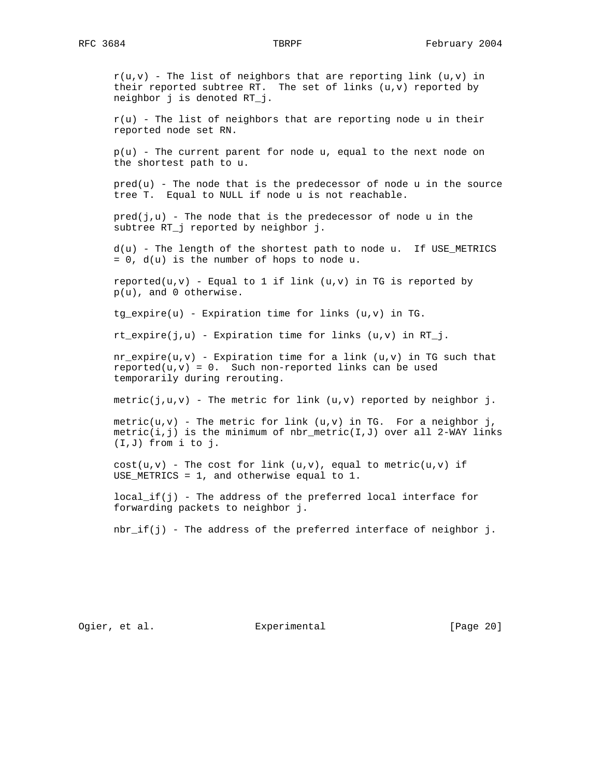$r(u,v)$  - The list of neighbors that are reporting link  $(u,v)$  in their reported subtree RT. The set of links  $(u,v)$  reported by neighbor j is denoted RT\_j.

 $r(u)$  - The list of neighbors that are reporting node  $u$  in their reported node set RN.

 $p(u)$  - The current parent for node u, equal to the next node on the shortest path to u.

 $pred(u)$  - The node that is the predecessor of node  $u$  in the source tree T. Equal to NULL if node u is not reachable.

 $pred(j,u)$  - The node that is the predecessor of node u in the subtree RT\_j reported by neighbor j.

 d(u) - The length of the shortest path to node u. If USE\_METRICS  $= 0$ ,  $d(u)$  is the number of hops to node u.

reported( $u, v$ ) - Equal to 1 if link ( $u, v$ ) in TG is reported by p(u), and 0 otherwise.

 $tg\_expire(u)$  - Expiration time for links  $(u,v)$  in TG.

 $rt\_expire(j,u)$  - Expiration time for links  $(u,v)$  in RT\_j.

 $nr\_expire(u,v)$  - Expiration time for a link  $(u,v)$  in TG such that  $reported(u,v) = 0$ . Such non-reported links can be used temporarily during rerouting.

metric( $j, u, v$ ) - The metric for link ( $u, v$ ) reported by neighbor  $j$ .

 $metric(u,v)$  - The metric for link  $(u,v)$  in TG. For a neighbor j, metric(i,j) is the minimum of nbr metric(I,J) over all 2-WAY links (I,J) from i to j.

 $cost(u,v)$  - The cost for link  $(u,v)$ , equal to metric( $u,v$ ) if USE\_METRICS = 1, and otherwise equal to 1.

 local\_if(j) - The address of the preferred local interface for forwarding packets to neighbor j.

nbr\_if(j) - The address of the preferred interface of neighbor j.

Ogier, et al. Subsection Experimental Contract (Page 20)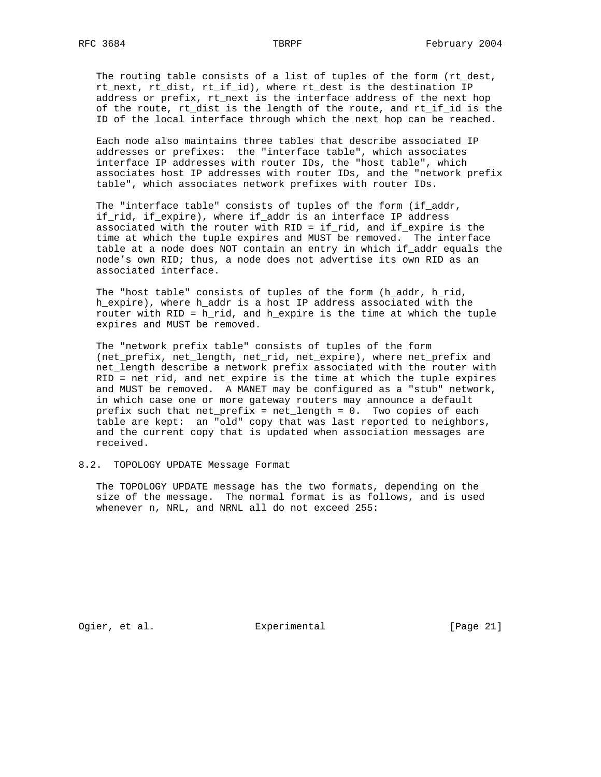The routing table consists of a list of tuples of the form (rt\_dest, rt\_next, rt\_dist, rt\_if\_id), where rt\_dest is the destination IP address or prefix, rt\_next is the interface address of the next hop of the route, rt\_dist is the length of the route, and rt\_if\_id is the ID of the local interface through which the next hop can be reached.

 Each node also maintains three tables that describe associated IP addresses or prefixes: the "interface table", which associates interface IP addresses with router IDs, the "host table", which associates host IP addresses with router IDs, and the "network prefix table", which associates network prefixes with router IDs.

The "interface table" consists of tuples of the form (if\_addr, if\_rid, if\_expire), where if\_addr is an interface IP address associated with the router with RID = if\_rid, and if\_expire is the time at which the tuple expires and MUST be removed. The interface table at a node does NOT contain an entry in which if\_addr equals the node's own RID; thus, a node does not advertise its own RID as an associated interface.

 The "host table" consists of tuples of the form (h\_addr, h\_rid, h\_expire), where h\_addr is a host IP address associated with the router with RID = h\_rid, and h\_expire is the time at which the tuple expires and MUST be removed.

 The "network prefix table" consists of tuples of the form (net\_prefix, net\_length, net\_rid, net\_expire), where net\_prefix and net\_length describe a network prefix associated with the router with RID = net\_rid, and net\_expire is the time at which the tuple expires and MUST be removed. A MANET may be configured as a "stub" network, in which case one or more gateway routers may announce a default prefix such that net\_prefix = net\_length = 0. Two copies of each table are kept: an "old" copy that was last reported to neighbors, and the current copy that is updated when association messages are received.

# 8.2. TOPOLOGY UPDATE Message Format

 The TOPOLOGY UPDATE message has the two formats, depending on the size of the message. The normal format is as follows, and is used whenever n, NRL, and NRNL all do not exceed 255:

Ogier, et al. Subsection Experimental Contracts [Page 21]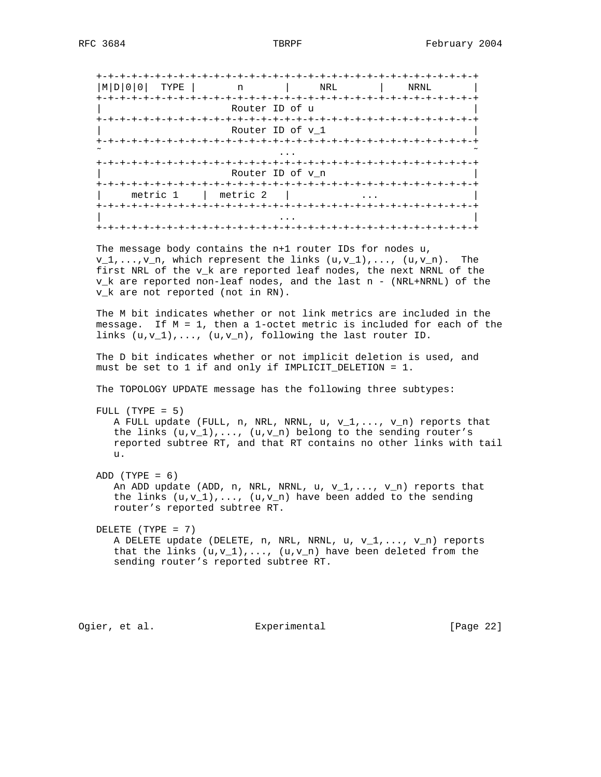|          | l NRL | NRNL                                                   |
|----------|-------|--------------------------------------------------------|
|          |       |                                                        |
|          |       |                                                        |
|          |       |                                                        |
|          |       |                                                        |
| metric 2 |       |                                                        |
|          |       | Router ID of u<br>Router ID of v 1<br>Router ID of v n |

 The message body contains the n+1 router IDs for nodes u,  $v_1, \ldots, v_n$ , which represent the links  $(u,v_1), \ldots, (u,v_n)$ . The first NRL of the v\_k are reported leaf nodes, the next NRNL of the v\_k are reported non-leaf nodes, and the last n - (NRL+NRNL) of the v\_k are not reported (not in RN).

 The M bit indicates whether or not link metrics are included in the message. If M = 1, then a 1-octet metric is included for each of the links (u,v\_1),..., (u,v\_n), following the last router ID.

 The D bit indicates whether or not implicit deletion is used, and must be set to 1 if and only if IMPLICIT\_DELETION = 1.

The TOPOLOGY UPDATE message has the following three subtypes:

```
 FULL (TYPE = 5)
```
 A FULL update (FULL, n, NRL, NRNL, u, v\_1,..., v\_n) reports that the links  $(u,v_1),..., (u,v_n)$  belong to the sending router's reported subtree RT, and that RT contains no other links with tail u.

 $ADD (TYPE = 6)$ An ADD update (ADD, n, NRL, NRNL, u,  $v_1, \ldots, v_n$ ) reports that the links  $(u,v_1),\ldots, (u,v_n)$  have been added to the sending router's reported subtree RT.

 DELETE (TYPE = 7) A DELETE update (DELETE, n, NRL, NRNL, u,  $v_1, \ldots, v_n$ ) reports that the links  $(u,v_1),\ldots, (u,v_n)$  have been deleted from the sending router's reported subtree RT.

Ogier, et al. **Experimental** [Page 22]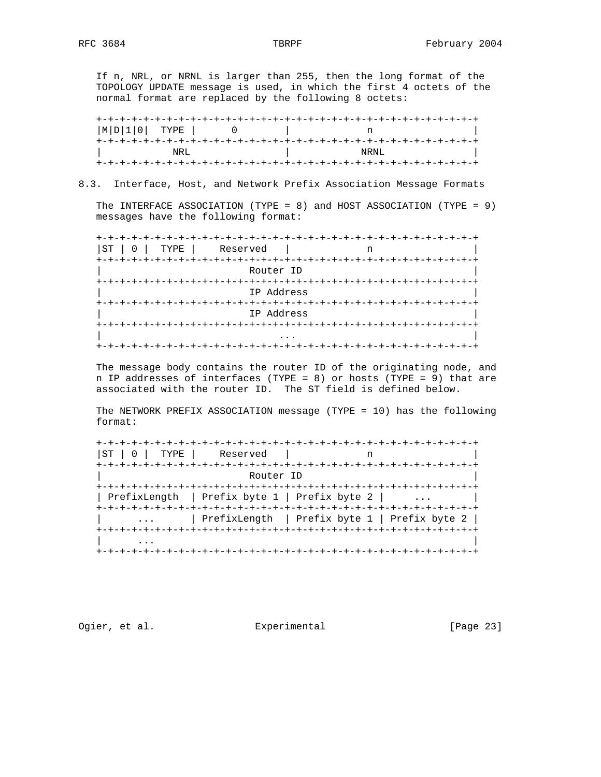If n, NRL, or NRNL is larger than 255, then the long format of the TOPOLOGY UPDATE message is used, in which the first 4 octets of the normal format are replaced by the following 8 octets:

 +-+-+-+-+-+-+-+-+-+-+-+-+-+-+-+-+-+-+-+-+-+-+-+-+-+-+-+-+-+-+-+-+ |M|D|1|0| TYPE | 0 | n | +-+-+-+-+-+-+-+-+-+-+-+-+-+-+-+-+-+-+-+-+-+-+-+-+-+-+-+-+-+-+-+-+ | NRL | NRNL | +-+-+-+-+-+-+-+-+-+-+-+-+-+-+-+-+-+-+-+-+-+-+-+-+-+-+-+-+-+-+-+-+

# 8.3. Interface, Host, and Network Prefix Association Message Formats

 The INTERFACE ASSOCIATION (TYPE = 8) and HOST ASSOCIATION (TYPE = 9) messages have the following format:

 +-+-+-+-+-+-+-+-+-+-+-+-+-+-+-+-+-+-+-+-+-+-+-+-+-+-+-+-+-+-+-+-+ |ST | 0 | TYPE | Reserved | n +-+-+-+-+-+-+-+-+-+-+-+-+-+-+-+-+-+-+-+-+-+-+-+-+-+-+-+-+-+-+-+-+ Router ID +-+-+-+-+-+-+-+-+-+-+-+-+-+-+-+-+-+-+-+-+-+-+-+-+-+-+-+-+-+-+-+-+ | IP Address | +-+-+-+-+-+-+-+-+-+-+-+-+-+-+-+-+-+-+-+-+-+-+-+-+-+-+-+-+-+-+-+-+ | IP Address | +-+-+-+-+-+-+-+-+-+-+-+-+-+-+-+-+-+-+-+-+-+-+-+-+-+-+-+-+-+-+-+-+ | ... | ... | ... | ... | ... | ... | ... | ... | ... | ... | ... | ... | ... | ... | ... | ... | ... | ... | . +-+-+-+-+-+-+-+-+-+-+-+-+-+-+-+-+-+-+-+-+-+-+-+-+-+-+-+-+-+-+-+-+

 The message body contains the router ID of the originating node, and n IP addresses of interfaces (TYPE = 8) or hosts (TYPE = 9) that are associated with the router ID. The ST field is defined below.

 The NETWORK PREFIX ASSOCIATION message (TYPE = 10) has the following format:

| $ST \mid 0 \mid TYPE \mid$<br>Reserved           | +-+-+-+-+-+-+-+-+-+-                         |
|--------------------------------------------------|----------------------------------------------|
| Router ID                                        |                                              |
| PrefixLength   Prefix byte $1$   Prefix byte $2$ |                                              |
|                                                  | PrefixLength   Prefix byte 1   Prefix byte 2 |
|                                                  |                                              |

Ogier, et al. Subsection Experimental Contract (Page 23)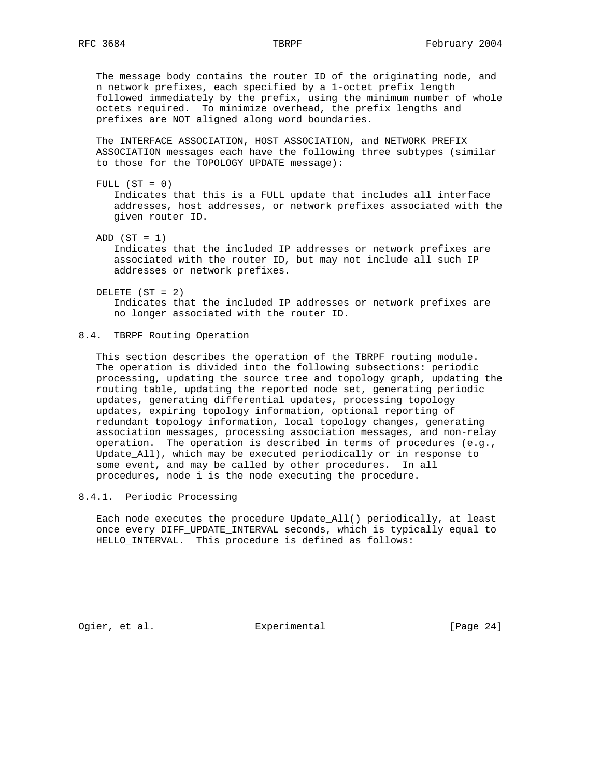The message body contains the router ID of the originating node, and n network prefixes, each specified by a 1-octet prefix length followed immediately by the prefix, using the minimum number of whole octets required. To minimize overhead, the prefix lengths and prefixes are NOT aligned along word boundaries.

 The INTERFACE ASSOCIATION, HOST ASSOCIATION, and NETWORK PREFIX ASSOCIATION messages each have the following three subtypes (similar to those for the TOPOLOGY UPDATE message):

FULL  $(ST = 0)$  Indicates that this is a FULL update that includes all interface addresses, host addresses, or network prefixes associated with the given router ID.

ADD  $(ST = 1)$ 

 Indicates that the included IP addresses or network prefixes are associated with the router ID, but may not include all such IP addresses or network prefixes.

 DELETE (ST = 2) Indicates that the included IP addresses or network prefixes are no longer associated with the router ID.

# 8.4. TBRPF Routing Operation

 This section describes the operation of the TBRPF routing module. The operation is divided into the following subsections: periodic processing, updating the source tree and topology graph, updating the routing table, updating the reported node set, generating periodic updates, generating differential updates, processing topology updates, expiring topology information, optional reporting of redundant topology information, local topology changes, generating association messages, processing association messages, and non-relay operation. The operation is described in terms of procedures (e.g., Update\_All), which may be executed periodically or in response to some event, and may be called by other procedures. In all procedures, node i is the node executing the procedure.

8.4.1. Periodic Processing

 Each node executes the procedure Update\_All() periodically, at least once every DIFF\_UPDATE\_INTERVAL seconds, which is typically equal to HELLO\_INTERVAL. This procedure is defined as follows:

Ogier, et al. Subsection Experimental Contracts [Page 24]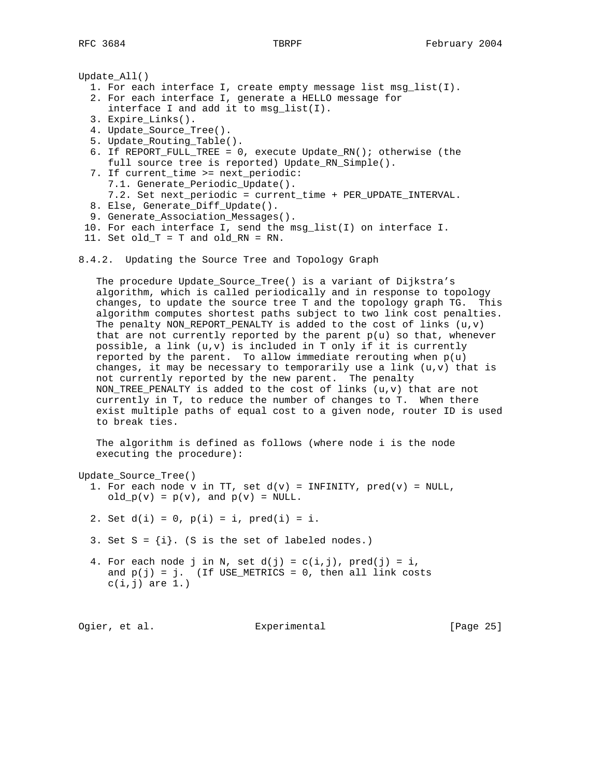```
Update_All()
   1. For each interface I, create empty message list msg_list(I).
   2. For each interface I, generate a HELLO message for
      interface I and add it to msg_list(I).
   3. Expire_Links().
   4. Update_Source_Tree().
   5. Update_Routing_Table().
   6. If REPORT_FULL_TREE = 0, execute Update_RN(); otherwise (the
      full source tree is reported) Update_RN_Simple().
   7. If current_time >= next_periodic:
      7.1. Generate_Periodic_Update().
      7.2. Set next_periodic = current_time + PER_UPDATE_INTERVAL.
   8. Else, Generate_Diff_Update().
   9. Generate_Association_Messages().
  10. For each interface I, send the msg_list(I) on interface I.
```

```
 11. Set old_T = T and old_RN = RN.
```
8.4.2. Updating the Source Tree and Topology Graph

 The procedure Update\_Source\_Tree() is a variant of Dijkstra's algorithm, which is called periodically and in response to topology changes, to update the source tree T and the topology graph TG. This algorithm computes shortest paths subject to two link cost penalties. The penalty NON\_REPORT\_PENALTY is added to the cost of links  $(u,v)$ that are not currently reported by the parent  $p(u)$  so that, whenever possible, a link  $(u,v)$  is included in T only if it is currently reported by the parent. To allow immediate rerouting when  $p(u)$ changes, it may be necessary to temporarily use a link  $(u,v)$  that is not currently reported by the new parent. The penalty NON\_TREE\_PENALTY is added to the cost of links  $(u,v)$  that are not currently in T, to reduce the number of changes to T. When there exist multiple paths of equal cost to a given node, router ID is used to break ties.

 The algorithm is defined as follows (where node i is the node executing the procedure):

Update\_Source\_Tree()

1. For each node v in TT, set  $d(v)$  = INFINITY,  $pred(v)$  = NULL, old  $p(v) = p(v)$ , and  $p(v) = NULL$ .

2. Set  $d(i) = 0$ ,  $p(i) = i$ ,  $pred(i) = i$ .

3. Set  $S = \{i\}$ . (S is the set of labeled nodes.)

4. For each node j in N, set  $d(j) = c(i,j)$ , pred(j) = i, and  $p(j) = j$ . (If USE\_METRICS = 0, then all link costs  $c(i,j)$  are  $1.$ )

Ogier, et al. Suite Experimental Contract (Page 25)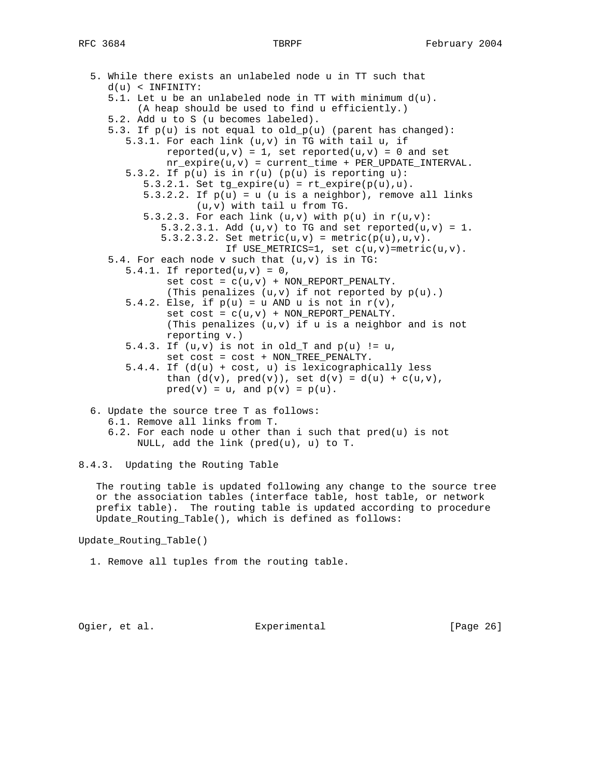```
 5. While there exists an unlabeled node u in TT such that
    d(u) < INFINITY:
    5.1. Let u be an unlabeled node in TT with minimum d(u).
         (A heap should be used to find u efficiently.)
    5.2. Add u to S (u becomes labeled).
   5.3. If p(u) is not equal to old p(u) (parent has changed):
       5.3.1. For each link (u,v) in TG with tail u, if
             reported(u,v) = 1, set reported(u,v) = 0 and set
             nr\_expire(u,v) = current\_time + PER\_UPDATE\_INTERVAL.
      5.3.2. If p(u) is in r(u) (p(u) is reporting u):
         5.3.2.1. Set tg\_expire(u) = rt\_expire(p(u), u).
         5.3.2.2. If p(u) = u (u is a neighbor), remove all links
                   (u,v) with tail u from TG.
         5.3.2.3. For each link (u,v) with p(u) in r(u,v):
            5.3.2.3.1. Add (u,v) to TG and set reported(u,v) = 1.
            5.3.2.3.2. Set metric(u,v) = metric(p(u),u,v).
                       If USE_METRICS=1, set c(u,v)=metric(u,v).
   5.4. For each node v such that (u,v) is in TG:
      5.4.1. If reported(u,v) = 0,
             set cost = c(u,v) + NON\_REPORT\_PENALTY.
             (This penalizes (u,v) if not reported by p(u).)
      5.4.2. Else, if p(u) = u AND u is not in r(v),
             set cost = c(u,v) + NON\_REPORT\_PENALTY.
              (This penalizes (u,v) if u is a neighbor and is not
              reporting v.)
      5.4.3. If (u,v) is not in old_T and p(u) != u,
              set cost = cost + NON_TREE_PENALTY.
       5.4.4. If (d(u) + cost, u) is lexicographically less
             than (d(v), pred(v)), set d(v) = d(u) + c(u,v),
             pred(v) = u, and p(v) = p(u).
 6. Update the source tree T as follows:
```
- 6.1. Remove all links from T.
- 6.2. For each node u other than i such that pred(u) is not NULL, add the link (pred(u), u) to T.

8.4.3. Updating the Routing Table

 The routing table is updated following any change to the source tree or the association tables (interface table, host table, or network prefix table). The routing table is updated according to procedure Update\_Routing\_Table(), which is defined as follows:

Update\_Routing\_Table()

1. Remove all tuples from the routing table.

Ogier, et al. Subsection Experimental Contracts [Page 26]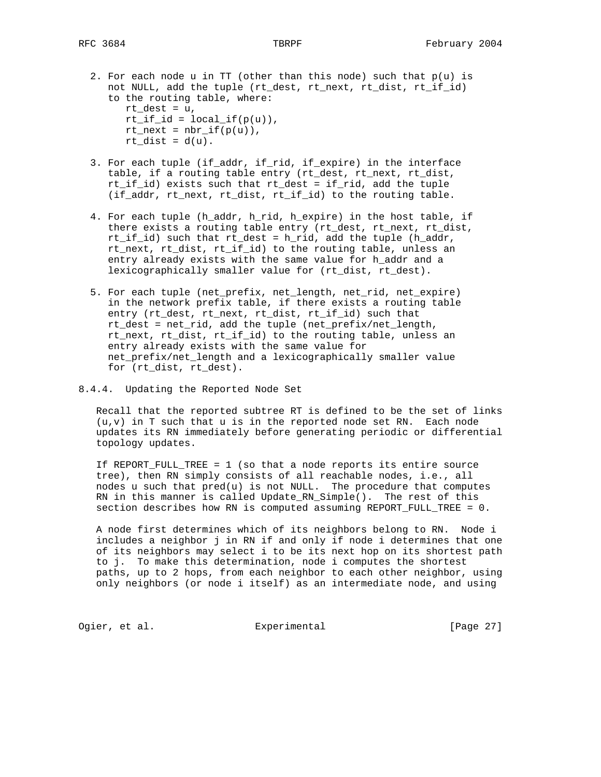- 2. For each node u in TT (other than this node) such that  $p(u)$  is not NULL, add the tuple (rt\_dest, rt\_next, rt\_dist, rt\_if\_id) to the routing table, where: rt dest =  $u$ ,  $rt\_if\_id = local\_if(p(u))$ ,  $rt\_next = nbr\_if(p(u)),$  $rt\_dist = d(u)$ .
- 3. For each tuple (if\_addr, if\_rid, if\_expire) in the interface table, if a routing table entry (rt\_dest, rt\_next, rt\_dist, rt\_if\_id) exists such that rt\_dest = if\_rid, add the tuple (if\_addr, rt\_next, rt\_dist, rt\_if\_id) to the routing table.
- 4. For each tuple (h\_addr, h\_rid, h\_expire) in the host table, if there exists a routing table entry (rt\_dest, rt\_next, rt\_dist, rt\_if\_id) such that rt\_dest = h\_rid, add the tuple (h\_addr, rt\_next, rt\_dist, rt\_if\_id) to the routing table, unless an entry already exists with the same value for h\_addr and a lexicographically smaller value for (rt\_dist, rt\_dest).
- 5. For each tuple (net\_prefix, net\_length, net\_rid, net\_expire) in the network prefix table, if there exists a routing table entry (rt\_dest, rt\_next, rt\_dist, rt\_if\_id) such that rt\_dest = net\_rid, add the tuple (net\_prefix/net\_length, rt\_next, rt\_dist, rt\_if\_id) to the routing table, unless an entry already exists with the same value for net\_prefix/net\_length and a lexicographically smaller value for (rt dist, rt dest).
- 8.4.4. Updating the Reported Node Set

 Recall that the reported subtree RT is defined to be the set of links  $(u,v)$  in T such that  $u$  is in the reported node set RN. Each node updates its RN immediately before generating periodic or differential topology updates.

 If REPORT\_FULL\_TREE = 1 (so that a node reports its entire source tree), then RN simply consists of all reachable nodes, i.e., all nodes u such that pred(u) is not NULL. The procedure that computes RN in this manner is called Update RN Simple(). The rest of this section describes how RN is computed assuming REPORT\_FULL\_TREE = 0.

 A node first determines which of its neighbors belong to RN. Node i includes a neighbor j in RN if and only if node i determines that one of its neighbors may select i to be its next hop on its shortest path to j. To make this determination, node i computes the shortest paths, up to 2 hops, from each neighbor to each other neighbor, using only neighbors (or node i itself) as an intermediate node, and using

Ogier, et al. Subsection Experimental Contract (Page 27)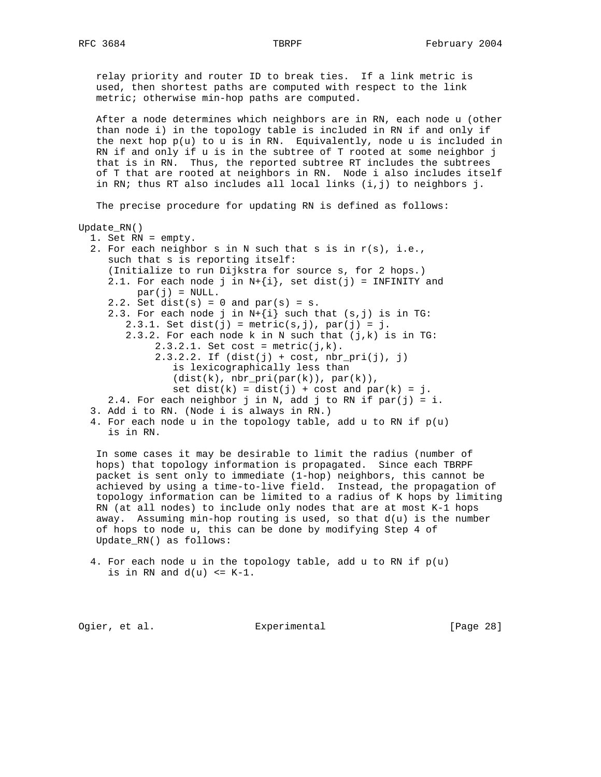relay priority and router ID to break ties. If a link metric is used, then shortest paths are computed with respect to the link metric; otherwise min-hop paths are computed.

 After a node determines which neighbors are in RN, each node u (other than node i) in the topology table is included in RN if and only if the next hop  $p(u)$  to u is in RN. Equivalently, node u is included in RN if and only if u is in the subtree of T rooted at some neighbor j that is in RN. Thus, the reported subtree RT includes the subtrees of T that are rooted at neighbors in RN. Node i also includes itself in RN; thus RT also includes all local links (i,j) to neighbors j.

The precise procedure for updating RN is defined as follows:

### Update\_RN()

| 1. Set RN = empty.                                               |
|------------------------------------------------------------------|
| 2. For each neighbor s in N such that s is in $r(s)$ , i.e.,     |
| such that s is reporting itself:                                 |
| (Initialize to run Dijkstra for source s, for 2 hops.)           |
| 2.1. For each node j in $N + \{i\}$ , set dist(j) = INFINITY and |
| $par(i) = NULL.$                                                 |
| 2.2. Set dist(s) = $0$ and par(s) = $s$ .                        |
| 2.3. For each node j in $N + \{i\}$ such that $(s, j)$ is in TG: |
| $2.3.1.$ Set dist(j) = metric(s,j), par(j) = j.                  |
| 2.3.2. For each node k in N such that $(j,k)$ is in TG:          |
| $2.3.2.1$ . Set cost = metric(j,k).                              |
| $2.3.2.2.$ If $(dist(j) + cost, nbr_pri(j), j)$                  |
| is lexicographically less than                                   |
| (dist(k), nhr pri(par(k)), par(k)),                              |
| set dist(k) = dist(j) + cost and par(k) = j.                     |
| 2.4. For each neighbor j in N, add j to RN if par(j) = i.        |
| 3. Add i to RN. (Node i is always in RN.)                        |
| 4. For each node u in the topology table, add u to RN if $p(u)$  |

is in RN.

 In some cases it may be desirable to limit the radius (number of hops) that topology information is propagated. Since each TBRPF packet is sent only to immediate (1-hop) neighbors, this cannot be achieved by using a time-to-live field. Instead, the propagation of topology information can be limited to a radius of K hops by limiting RN (at all nodes) to include only nodes that are at most K-1 hops away. Assuming min-hop routing is used, so that  $d(u)$  is the number of hops to node u, this can be done by modifying Step 4 of Update\_RN() as follows:

```
4. For each node u in the topology table, add u to RN if p(u)is in RN and d(u) <= K-1.
```
Ogier, et al. Subsection Experimental Contracts [Page 28]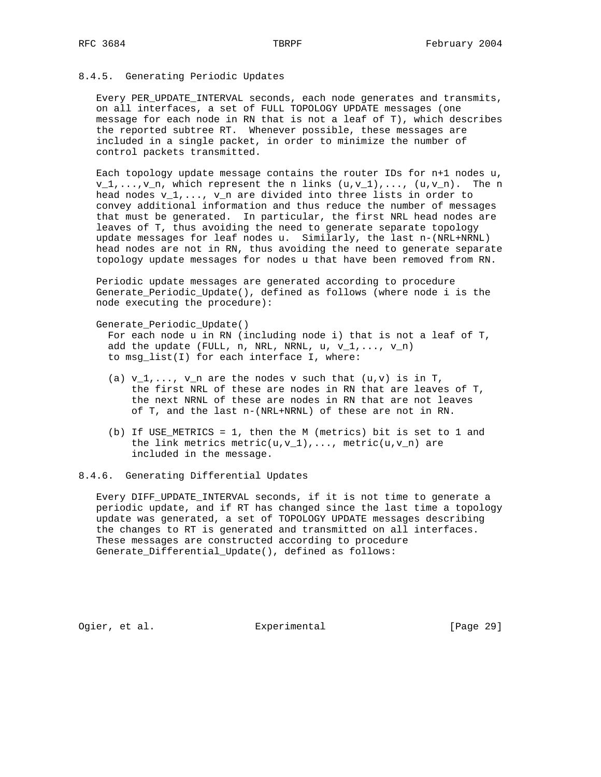# 8.4.5. Generating Periodic Updates

 Every PER\_UPDATE\_INTERVAL seconds, each node generates and transmits, on all interfaces, a set of FULL TOPOLOGY UPDATE messages (one message for each node in RN that is not a leaf of T), which describes the reported subtree RT. Whenever possible, these messages are included in a single packet, in order to minimize the number of control packets transmitted.

 Each topology update message contains the router IDs for n+1 nodes u,  $v_1, \ldots, v_n$ , which represent the n links  $(u,v_1), \ldots, (u,v_n)$ . The n head nodes  $v_1, \ldots, v_n$  are divided into three lists in order to convey additional information and thus reduce the number of messages that must be generated. In particular, the first NRL head nodes are leaves of T, thus avoiding the need to generate separate topology update messages for leaf nodes u. Similarly, the last n-(NRL+NRNL) head nodes are not in RN, thus avoiding the need to generate separate topology update messages for nodes u that have been removed from RN.

 Periodic update messages are generated according to procedure Generate\_Periodic\_Update(), defined as follows (where node i is the node executing the procedure):

Generate\_Periodic\_Update()

 For each node u in RN (including node i) that is not a leaf of T, add the update (FULL, n, NRL, NRNL, u,  $v_1, \ldots, v_n$ ) to msg\_list(I) for each interface I, where:

- (a)  $v_1, \ldots, v_n$  are the nodes v such that  $(u,v)$  is in T, the first NRL of these are nodes in RN that are leaves of T, the next NRNL of these are nodes in RN that are not leaves of T, and the last n-(NRL+NRNL) of these are not in RN.
- (b) If USE METRICS = 1, then the M (metrics) bit is set to 1 and the link metrics  $metric(u,v_1),...,$  metric( $u,v_n)$  are included in the message.

### 8.4.6. Generating Differential Updates

 Every DIFF\_UPDATE\_INTERVAL seconds, if it is not time to generate a periodic update, and if RT has changed since the last time a topology update was generated, a set of TOPOLOGY UPDATE messages describing the changes to RT is generated and transmitted on all interfaces. These messages are constructed according to procedure Generate\_Differential\_Update(), defined as follows:

Ogier, et al. Subsection Experimental Contract (Page 29)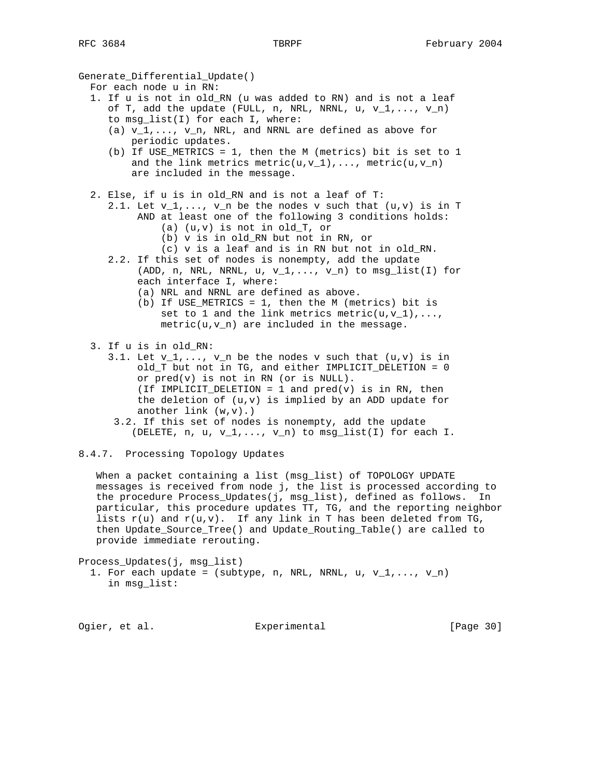Generate\_Differential\_Update()

- For each node u in RN:
- 1. If u is not in old\_RN (u was added to RN) and is not a leaf of T, add the update (FULL, n, NRL, NRNL, u,  $v_1, \ldots, v_n$ ) to msg\_list(I) for each I, where:
	- (a)  $v_1,\ldots, v_n$ , NRL, and NRNL are defined as above for periodic updates.
	- (b) If USE\_METRICS = 1, then the M (metrics) bit is set to 1 and the link metrics metric(u,v\_1),..., metric(u,v\_n) are included in the message.
- 2. Else, if u is in old\_RN and is not a leaf of T:
	- 2.1. Let  $v_1, \ldots, v_n$  be the nodes v such that  $(u,v)$  is in T AND at least one of the following 3 conditions holds:
		- (a) (u,v) is not in old\_T, or
		- (b) v is in old\_RN but not in RN, or
		- (c) v is a leaf and is in RN but not in old\_RN.
	- 2.2. If this set of nodes is nonempty, add the update (ADD, n, NRL, NRNL,  $u, v_1, \ldots, v_n$ ) to msg\_list(I) for each interface I, where:
		- (a) NRL and NRNL are defined as above.
		- (b) If USE\_METRICS = 1, then the M (metrics) bit is set to 1 and the link metrics metric( $u, v_1$ ),..., metric(u,v\_n) are included in the message.
- 3. If u is in old\_RN:
	- 3.1. Let  $v_1, \ldots, v_n$  be the nodes v such that  $(u,v)$  is in old\_T but not in TG, and either IMPLICIT\_DELETION = 0 or pred(v) is not in RN (or is NULL). (If IMPLICIT\_DELETION = 1 and  $pred(v)$  is in RN, then the deletion of (u,v) is implied by an ADD update for another  $link(w,v)$ .)
	- 3.2. If this set of nodes is nonempty, add the update (DELETE,  $n, u, v_1, \ldots, v_n$ ) to  $msg\_list(I)$  for each I.
- 8.4.7. Processing Topology Updates

 When a packet containing a list (msg\_list) of TOPOLOGY UPDATE messages is received from node j, the list is processed according to the procedure Process\_Updates(j, msg\_list), defined as follows. In particular, this procedure updates TT, TG, and the reporting neighbor lists  $r(u)$  and  $r(u,v)$ . If any link in T has been deleted from TG, then Update\_Source\_Tree() and Update\_Routing\_Table() are called to provide immediate rerouting.

Process\_Updates(j, msg\_list)

1. For each update = (subtype, n, NRL, NRNL, u,  $v_1, \ldots, v_n$ ) in msg\_list:

Ogier, et al. Suite Experimental Contract (Page 30)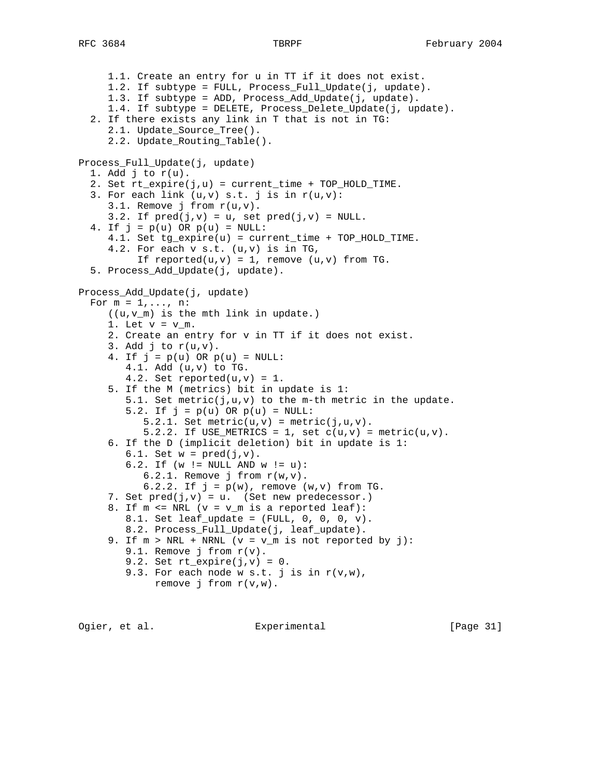```
 1.1. Create an entry for u in TT if it does not exist.
      1.2. If subtype = FULL, Process_Full_Update(j, update).
      1.3. If subtype = ADD, Process_Add_Update(j, update).
      1.4. If subtype = DELETE, Process_Delete_Update(j, update).
   2. If there exists any link in T that is not in TG:
      2.1. Update_Source_Tree().
      2.2. Update_Routing_Table().
Process_Full_Update(j, update)
  1. Add j to r(u).
   2. Set rt_expire(j,u) = current_time + TOP_HOLD_TIME.
  3. For each link (u,v) s.t. j is in r(u,v):
      3.1. Remove j from r(u,v).
     3.2. If pred(j,v) = u, set pred(j,v) = NULL.
  4. If j = p(u) OR p(u) = NULL:
      4.1. Set tg_expire(u) = current_time + TOP_HOLD_TIME.
      4.2. For each v s.t. (u,v) is in TG,
          If reported(u,v) = 1, remove (u,v) from TG.
   5. Process_Add_Update(j, update).
Process_Add_Update(j, update)
  For m = 1, \ldots, n:
      ((u,v_m) is the mth link in update.)
     1. Let v = v_m.
      2. Create an entry for v in TT if it does not exist.
     3. Add j to r(u,v).
     4. If j = p(u) OR p(u) = NULL:
         4.1. Add (u,v) to TG.
        4.2. Set reported(u,v) = 1.
      5. If the M (metrics) bit in update is 1:
        5.1. Set metric(j, u, v) to the m-th metric in the update.
        5.2. If j = p(u) OR p(u) = NULL:
           5.2.1. Set metric(u,v) = metric(j,u,v).
           5.2.2. If USE_METRICS = 1, set c(u,v) = metric(u,v).
      6. If the D (implicit deletion) bit in update is 1:
        6.1. Set w = pred(j,v).
         6.2. If (w != NULL AND w != u):
           6.2.1. Remove j from r(w,v).
           6.2.2. If j = p(w), remove (w, v) from TG.
     7. Set pred(j,v) = u. (Set new predecessor.)
     8. If m \leq NRL (v = v_m is a reported leaf):
        8.1. Set leaf_update = (FULL, 0, 0, 0, v).
         8.2. Process_Full_Update(j, leaf_update).
     9. If m > NRL + NRNL (v = v_m is not reported by j):
        9.1. Remove j from r(v).
        9.2. Set rt\_expire(j,v) = 0.
         9.3. For each node w s.t. j is in r(v,w),
             remove j from r(v,w).
```
Ogier, et al. Experimental [Page 31]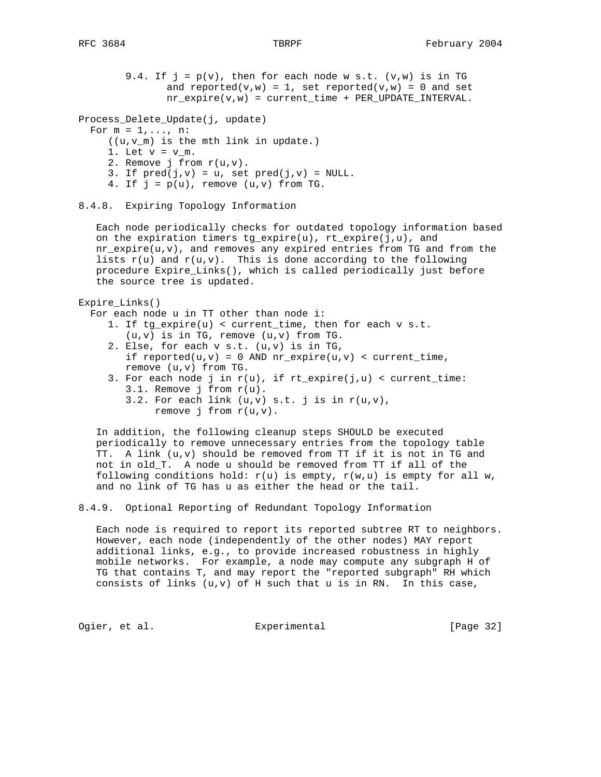```
9.4. If j = p(v), then for each node w s.t. (v,w) is in TG
       and reported(v,w) = 1, set reported(v,w) = 0 and set
      nr\_expire(v,w) = current\_time + PER\_UPDATE\_INTERVAL.
```

```
Process_Delete_Update(j, update)
```

```
For m = 1, \ldots, n:
```
- ((u,v\_m) is the mth link in update.)
- 1. Let  $v = v_m$ .
- 2. Remove j from  $r(u,v)$ .
- 3. If  $pred(j,v) = u$ , set  $pred(j,v) = NULL$ .
- 4. If  $j = p(u)$ , remove  $(u,v)$  from TG.

```
8.4.8. Expiring Topology Information
```
 Each node periodically checks for outdated topology information based on the expiration timers tg\_expire(u), rt\_expire(j,u), and nr\_expire(u,v), and removes any expired entries from TG and from the lists  $r(u)$  and  $r(u,v)$ . This is done according to the following procedure Expire\_Links(), which is called periodically just before the source tree is updated.

```
Expire_Links()
```
For each node u in TT other than node i:

- 1. If tg\_expire(u) < current\_time, then for each v s.t. (u,v) is in TG, remove (u,v) from TG.
- 2. Else, for each v s.t. (u,v) is in TG, if reported(u,v) = 0 AND  $nr\_expire(u,v)$  < current\_time, remove (u,v) from TG.
- 3. For each node j in  $r(u)$ , if  $rt\_expire(j,u) < current\_time$ : 3.1. Remove j from r(u).
	- 3.2. For each link  $(u,v)$  s.t. j is in  $r(u,v)$ , remove j from  $r(u,v)$ .

 In addition, the following cleanup steps SHOULD be executed periodically to remove unnecessary entries from the topology table TT. A link (u,v) should be removed from TT if it is not in TG and not in old\_T. A node u should be removed from TT if all of the following conditions hold:  $r(u)$  is empty,  $r(w,u)$  is empty for all w, and no link of TG has u as either the head or the tail.

8.4.9. Optional Reporting of Redundant Topology Information

 Each node is required to report its reported subtree RT to neighbors. However, each node (independently of the other nodes) MAY report additional links, e.g., to provide increased robustness in highly mobile networks. For example, a node may compute any subgraph H of TG that contains T, and may report the "reported subgraph" RH which consists of links  $(u,v)$  of H such that  $u$  is in RN. In this case,

Ogier, et al. Subsection Experimental Contracts [Page 32]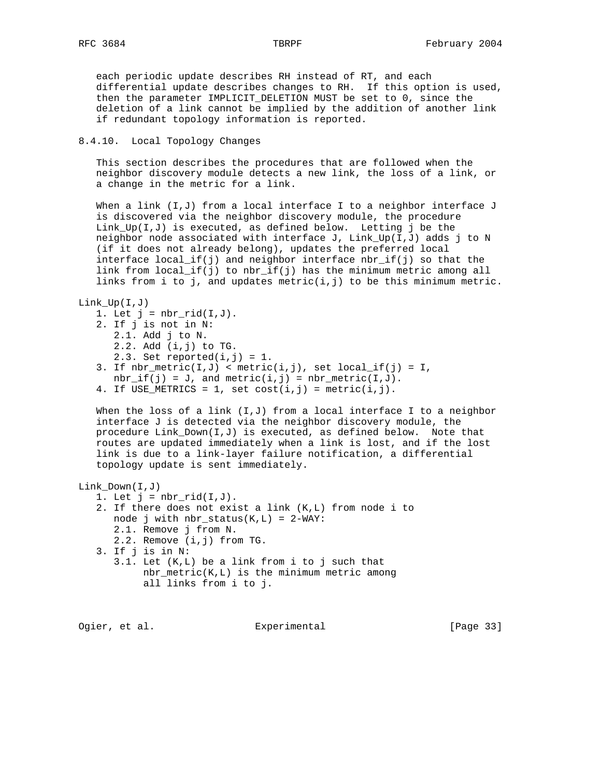each periodic update describes RH instead of RT, and each differential update describes changes to RH. If this option is used, then the parameter IMPLICIT\_DELETION MUST be set to 0, since the deletion of a link cannot be implied by the addition of another link if redundant topology information is reported.

# 8.4.10. Local Topology Changes

 This section describes the procedures that are followed when the neighbor discovery module detects a new link, the loss of a link, or a change in the metric for a link.

When a link (I,J) from a local interface I to a neighbor interface J is discovered via the neighbor discovery module, the procedure Link\_Up( $I,J$ ) is executed, as defined below. Letting j be the neighbor node associated with interface J,  $Link_Up(I,J)$  adds j to N (if it does not already belong), updates the preferred local interface local\_if(j) and neighbor interface  $nbr\_if(j)$  so that the link from local\_if(j) to nbr\_if(j) has the minimum metric among all links from i to j, and updates metric $(i, j)$  to be this minimum metric.

```
Link_Up(I,J)
```

```
1. Let j = nbr\_rid(I,J).
 2. If j is not in N:
    2.1. Add j to N.
    2.2. Add (i,j) to TG.
   2.3. Set reported(i, j) = 1.
3. If nbr\_metric(I,J) < metric(i,j), set local\_if(j) = I,
   nbr_if(j) = J, and metric(i, j) = nbr_metric(I, J).
4. If USE_METRICS = 1, set cost(i,j) = metric(i,j).
```
When the loss of a link  $(I,J)$  from a local interface I to a neighbor interface J is detected via the neighbor discovery module, the procedure Link\_Down(I,J) is executed, as defined below. Note that routes are updated immediately when a link is lost, and if the lost link is due to a link-layer failure notification, a differential topology update is sent immediately.

# Link\_Down(I,J)

- 1. Let  $j = nbr\_rid(I,J)$ .
- 2. If there does not exist a link (K,L) from node i to node j with  $nbr\_status(K, L) = 2-WAY$ : 2.1. Remove j from N.
	- 2.2. Remove (i,j) from TG.
- 3. If j is in N:
	- 3.1. Let (K,L) be a link from i to j such that nbr\_metric(K,L) is the minimum metric among all links from i to j.

Ogier, et al. Subsection Experimental Contracts [Page 33]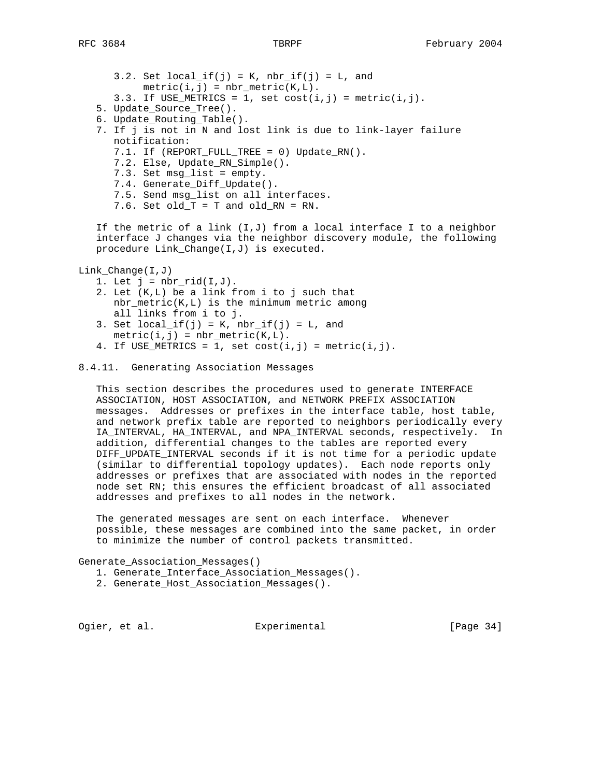3.2. Set  $local_if(j) = K$ ,  $nbr_if(j) = L$ , and  $metric(i, j) = nbr_metric(K, L)$ . 3.3. If USE\_METRICS = 1, set  $cost(i,j)$  =  $metric(i,j)$ . 5. Update\_Source\_Tree(). 6. Update\_Routing\_Table(). 7. If j is not in N and lost link is due to link-layer failure notification: 7.1. If (REPORT\_FULL\_TREE = 0) Update\_RN(). 7.2. Else, Update\_RN\_Simple(). 7.3. Set msg\_list = empty. 7.4. Generate\_Diff\_Update(). 7.5. Send msg\_list on all interfaces. 7.6. Set old\_T = T and old\_RN = RN. If the metric of a link  $(I,J)$  from a local interface I to a neighbor interface J changes via the neighbor discovery module, the following procedure Link\_Change(I,J) is executed. Link\_Change(I,J) 1. Let  $j = nbr\_rid(I,J)$ . 2. Let (K,L) be a link from i to j such that nbr\_metric(K,L) is the minimum metric among

- all links from i to j. 3. Set  $local_if(j) = K$ ,  $nbr_if(j) = L$ , and  $metric(i, j) = nbr_metric(K, L)$ .
- 4. If USE\_METRICS = 1, set  $cost(i, j)$  = metric(i,j).

# 8.4.11. Generating Association Messages

 This section describes the procedures used to generate INTERFACE ASSOCIATION, HOST ASSOCIATION, and NETWORK PREFIX ASSOCIATION messages. Addresses or prefixes in the interface table, host table, and network prefix table are reported to neighbors periodically every IA\_INTERVAL, HA\_INTERVAL, and NPA\_INTERVAL seconds, respectively. In addition, differential changes to the tables are reported every DIFF\_UPDATE\_INTERVAL seconds if it is not time for a periodic update (similar to differential topology updates). Each node reports only addresses or prefixes that are associated with nodes in the reported node set RN; this ensures the efficient broadcast of all associated addresses and prefixes to all nodes in the network.

 The generated messages are sent on each interface. Whenever possible, these messages are combined into the same packet, in order to minimize the number of control packets transmitted.

Generate\_Association\_Messages()

- 1. Generate\_Interface\_Association\_Messages().
- 2. Generate\_Host\_Association\_Messages().

Ogier, et al. Subsection Experimental Contract (Page 34)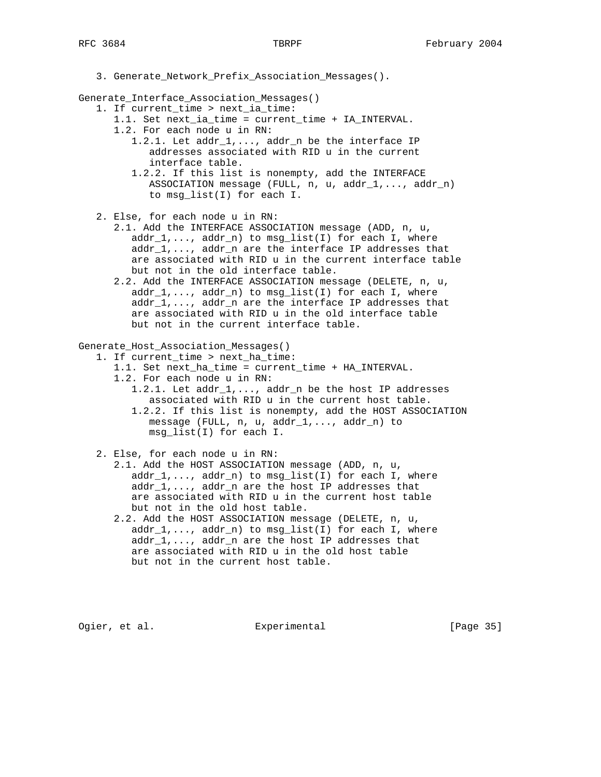3. Generate\_Network\_Prefix\_Association\_Messages().

Generate\_Interface\_Association\_Messages()

- 1. If current\_time > next\_ia\_time:
	- 1.1. Set next\_ia\_time = current\_time + IA\_INTERVAL.
	- 1.2. For each node u in RN:
		- 1.2.1. Let addr\_1,..., addr\_n be the interface IP addresses associated with RID u in the current interface table.
		- 1.2.2. If this list is nonempty, add the INTERFACE ASSOCIATION message (FULL, n, u, addr\_1,..., addr\_n) to msg\_list(I) for each I.
- 2. Else, for each node u in RN:
	- 2.1. Add the INTERFACE ASSOCIATION message (ADD, n, u,  $addr_1, \ldots, addr_n)$  to msg\_list(I) for each I, where  $addr_1, \ldots,$  addr $_n$  are the interface IP addresses that are associated with RID u in the current interface table but not in the old interface table.
	- 2.2. Add the INTERFACE ASSOCIATION message (DELETE, n, u,  $addr_1, \ldots, addr_n)$  to msg\_list(I) for each I, where addr\_1,..., addr\_n are the interface IP addresses that are associated with RID u in the old interface table but not in the current interface table.

Generate\_Host\_Association\_Messages()

1. If current\_time > next\_ha\_time:

- 1.1. Set next\_ha\_time = current\_time + HA\_INTERVAL.
	- 1.2. For each node u in RN:
		- 1.2.1. Let addr\_1,..., addr\_n be the host IP addresses associated with RID u in the current host table.
			- 1.2.2. If this list is nonempty, add the HOST ASSOCIATION message (FULL, n, u, addr\_1,..., addr\_n) to msg\_list(I) for each I.

2. Else, for each node u in RN:

- 2.1. Add the HOST ASSOCIATION message (ADD, n, u,  $addr_1, \ldots, addr_n)$  to msg\_list(I) for each I, where  $addr_1, \ldots,$  addr $_n$  are the host IP addresses that are associated with RID u in the current host table but not in the old host table.
- 2.2. Add the HOST ASSOCIATION message (DELETE, n, u,  $addr_1, \ldots, addr_n)$  to  $msg\_list(I)$  for each I, where  $addr_1, \ldots$ , addr $_n$  are the host IP addresses that are associated with RID u in the old host table but not in the current host table.

Ogier, et al. Experimental [Page 35]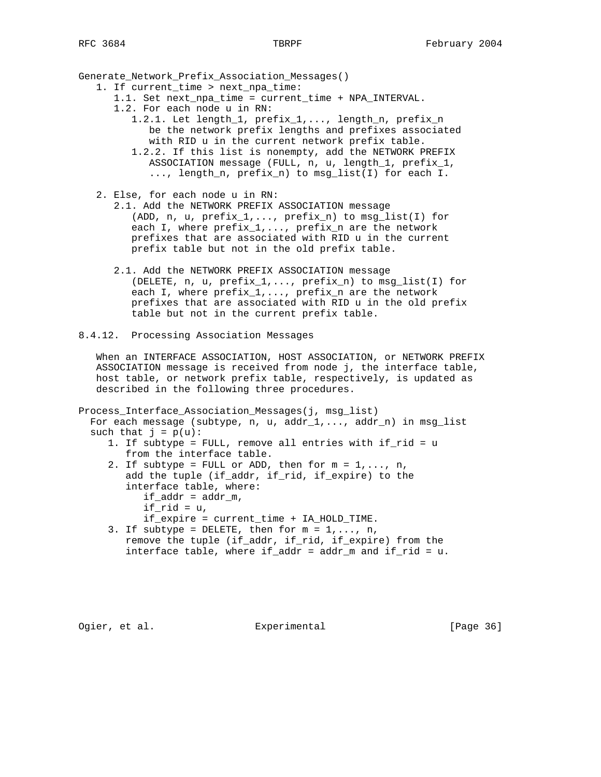Generate\_Network\_Prefix\_Association\_Messages()

- 1. If current\_time > next\_npa\_time:
	- 1.1. Set next\_npa\_time = current\_time + NPA\_INTERVAL.
	- 1.2. For each node u in RN:
		- 1.2.1. Let length\_1, prefix\_1,..., length\_n, prefix\_n be the network prefix lengths and prefixes associated with RID u in the current network prefix table.
		- 1.2.2. If this list is nonempty, add the NETWORK PREFIX ASSOCIATION message (FULL, n, u, length\_1, prefix\_1, ..., length\_n, prefix\_n) to msg\_list(I) for each I.
- 2. Else, for each node u in RN:
	- 2.1. Add the NETWORK PREFIX ASSOCIATION message (ADD, n, u, prefix\_1,..., prefix\_n) to msg\_list(I) for each I, where  $prefix_1, ..., prefix_n$  are the network prefixes that are associated with RID u in the current prefix table but not in the old prefix table.
	- 2.1. Add the NETWORK PREFIX ASSOCIATION message (DELETE,  $n, u, prefix_1, \ldots, prefix_n)$  to  $msg\_list(I)$  for each I, where  $prefix_1, ..., prefix_n$  are the network prefixes that are associated with RID u in the old prefix table but not in the current prefix table.
- 8.4.12. Processing Association Messages

 When an INTERFACE ASSOCIATION, HOST ASSOCIATION, or NETWORK PREFIX ASSOCIATION message is received from node j, the interface table, host table, or network prefix table, respectively, is updated as described in the following three procedures.

Process\_Interface\_Association\_Messages(j, msg\_list) For each message (subtype, n, u, addr\_1,..., addr\_n) in msg\_list such that  $j = p(u)$ :

- 1. If subtype = FULL, remove all entries with if\_rid = u from the interface table.
- 2. If subtype = FULL or ADD, then for  $m = 1, \ldots, n$ , add the tuple (if\_addr, if\_rid, if\_expire) to the interface table, where:  $if\_addr = addr_m$ , if\_rid =  $u$ , if\_expire = current\_time + IA\_HOLD\_TIME.
- 3. If subtype = DELETE, then for  $m = 1, \ldots, n$ , remove the tuple (if\_addr, if\_rid, if\_expire) from the interface table, where if addr = addr  $m$  and if rid = u.

Ogier, et al. **Experimental** [Page 36]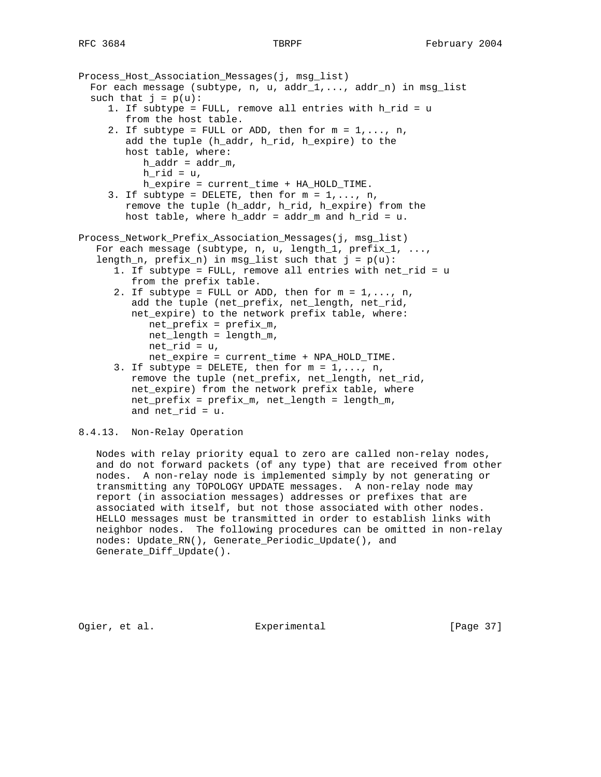```
Process_Host_Association_Messages(j, msg_list)
  For each message (subtype, n, u, addr_1, \ldots, addr_n) in msg_1ist
  such that j = p(u):
      1. If subtype = FULL, remove all entries with h_rid = u
         from the host table.
     2. If subtype = FULL or ADD, then for m = 1, \ldots, n,
         add the tuple (h_addr, h_rid, h_expire) to the
         host table, where:
           h\_addr = addr_m,
           h<sup>rid = u,</sup>
            h_expire = current_time + HA_HOLD_TIME.
     3. If subtype = DELETE, then for m = 1, \ldots, n,
         remove the tuple (h_addr, h_rid, h_expire) from the
        host table, where h\_addr = addr_m and h\_rid = u.
Process_Network_Prefix_Association_Messages(j, msg_list)
   For each message (subtype, n, u, length_1, prefix_1, ...,
   length_n, prefix_n) in msg_list such that j = p(u):
       1. If subtype = FULL, remove all entries with net_rid = u
          from the prefix table.
      2. If subtype = FULL or ADD, then for m = 1, \ldots, n,
          add the tuple (net_prefix, net_length, net_rid,
          net_expire) to the network prefix table, where:
             net_prefix = prefix_m,
             net_length = length_m,
            net\_rid = u, net_expire = current_time + NPA_HOLD_TIME.
      3. If subtype = DELETE, then for m = 1, \ldots, n,
          remove the tuple (net_prefix, net_length, net_rid,
          net_expire) from the network prefix table, where
          net_prefix = prefix_m, net_length = length_m,
         and net\_rid = u.
```
# 8.4.13. Non-Relay Operation

 Nodes with relay priority equal to zero are called non-relay nodes, and do not forward packets (of any type) that are received from other nodes. A non-relay node is implemented simply by not generating or transmitting any TOPOLOGY UPDATE messages. A non-relay node may report (in association messages) addresses or prefixes that are associated with itself, but not those associated with other nodes. HELLO messages must be transmitted in order to establish links with neighbor nodes. The following procedures can be omitted in non-relay nodes: Update\_RN(), Generate\_Periodic\_Update(), and Generate\_Diff\_Update().

Ogier, et al. Experimental [Page 37]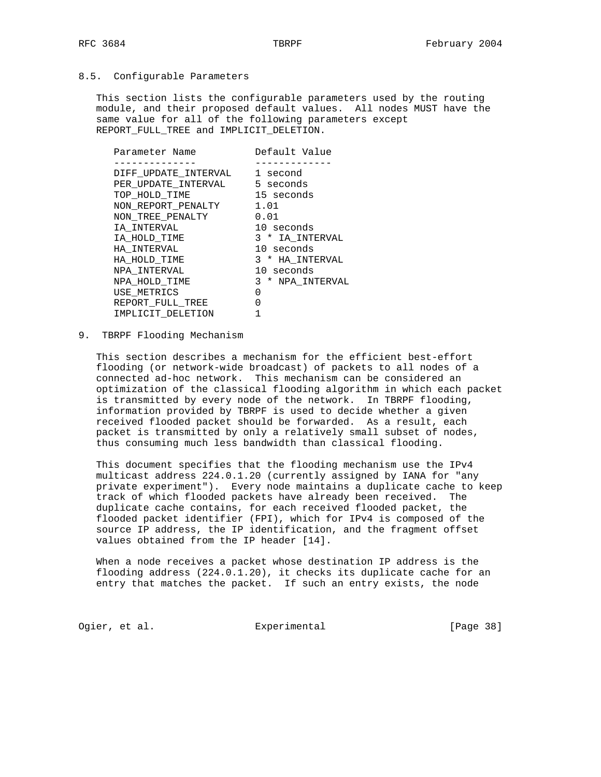# 8.5. Configurable Parameters

 This section lists the configurable parameters used by the routing module, and their proposed default values. All nodes MUST have the same value for all of the following parameters except REPORT\_FULL\_TREE and IMPLICIT\_DELETION.

| Parameter Name       | Default Value    |
|----------------------|------------------|
|                      |                  |
| DIFF UPDATE INTERVAL | 1 second         |
| PER UPDATE INTERVAL  | 5 seconds        |
| TOP HOLD TIME        | 15 seconds       |
| NON REPORT PENALTY   | 1.01             |
| NON TREE PENALTY     | 0.01             |
| IA INTERVAL          | 10 seconds       |
| IA HOLD TIME         | 3 * IA INTERVAL  |
| HA INTERVAL          | 10 seconds       |
| HA HOLD TIME         | 3 * HA INTERVAL  |
| NPA INTERVAL         | 10 seconds       |
| NPA HOLD TIME        | 3 * NPA INTERVAL |
| USE METRICS          | O                |
| REPORT FULL TREE     | O                |
| IMPLICIT DELETION    |                  |
|                      |                  |

9. TBRPF Flooding Mechanism

 This section describes a mechanism for the efficient best-effort flooding (or network-wide broadcast) of packets to all nodes of a connected ad-hoc network. This mechanism can be considered an optimization of the classical flooding algorithm in which each packet is transmitted by every node of the network. In TBRPF flooding, information provided by TBRPF is used to decide whether a given received flooded packet should be forwarded. As a result, each packet is transmitted by only a relatively small subset of nodes, thus consuming much less bandwidth than classical flooding.

 This document specifies that the flooding mechanism use the IPv4 multicast address 224.0.1.20 (currently assigned by IANA for "any private experiment"). Every node maintains a duplicate cache to keep track of which flooded packets have already been received. The duplicate cache contains, for each received flooded packet, the flooded packet identifier (FPI), which for IPv4 is composed of the source IP address, the IP identification, and the fragment offset values obtained from the IP header [14].

 When a node receives a packet whose destination IP address is the flooding address (224.0.1.20), it checks its duplicate cache for an entry that matches the packet. If such an entry exists, the node

Ogier, et al. Suite Experimental Contract (Page 38)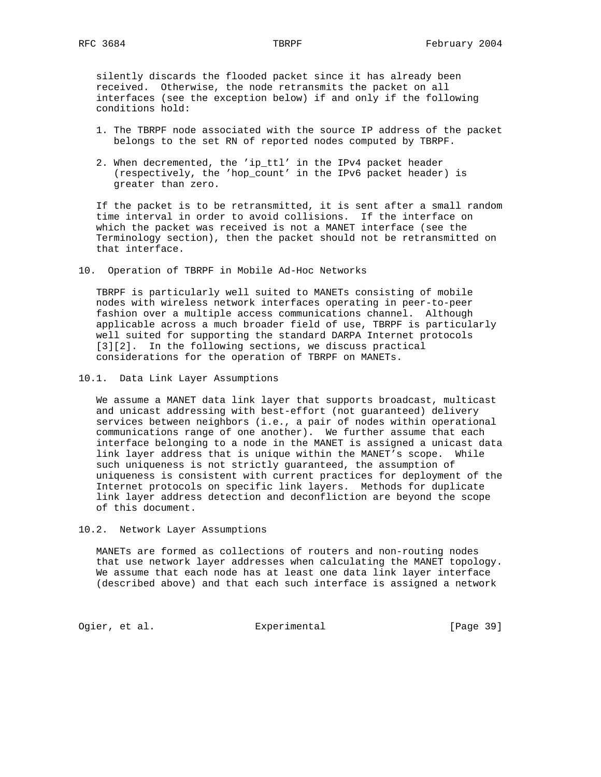silently discards the flooded packet since it has already been received. Otherwise, the node retransmits the packet on all interfaces (see the exception below) if and only if the following conditions hold:

- 1. The TBRPF node associated with the source IP address of the packet belongs to the set RN of reported nodes computed by TBRPF.
- 2. When decremented, the 'ip\_ttl' in the IPv4 packet header (respectively, the 'hop\_count' in the IPv6 packet header) is greater than zero.

 If the packet is to be retransmitted, it is sent after a small random time interval in order to avoid collisions. If the interface on which the packet was received is not a MANET interface (see the Terminology section), then the packet should not be retransmitted on that interface.

10. Operation of TBRPF in Mobile Ad-Hoc Networks

 TBRPF is particularly well suited to MANETs consisting of mobile nodes with wireless network interfaces operating in peer-to-peer fashion over a multiple access communications channel. Although applicable across a much broader field of use, TBRPF is particularly well suited for supporting the standard DARPA Internet protocols [3][2]. In the following sections, we discuss practical considerations for the operation of TBRPF on MANETs.

10.1. Data Link Layer Assumptions

 We assume a MANET data link layer that supports broadcast, multicast and unicast addressing with best-effort (not guaranteed) delivery services between neighbors (i.e., a pair of nodes within operational communications range of one another). We further assume that each interface belonging to a node in the MANET is assigned a unicast data link layer address that is unique within the MANET's scope. While such uniqueness is not strictly guaranteed, the assumption of uniqueness is consistent with current practices for deployment of the Internet protocols on specific link layers. Methods for duplicate link layer address detection and deconfliction are beyond the scope of this document.

10.2. Network Layer Assumptions

 MANETs are formed as collections of routers and non-routing nodes that use network layer addresses when calculating the MANET topology. We assume that each node has at least one data link layer interface (described above) and that each such interface is assigned a network

Ogier, et al. Subsection Experimental Contract (Page 39)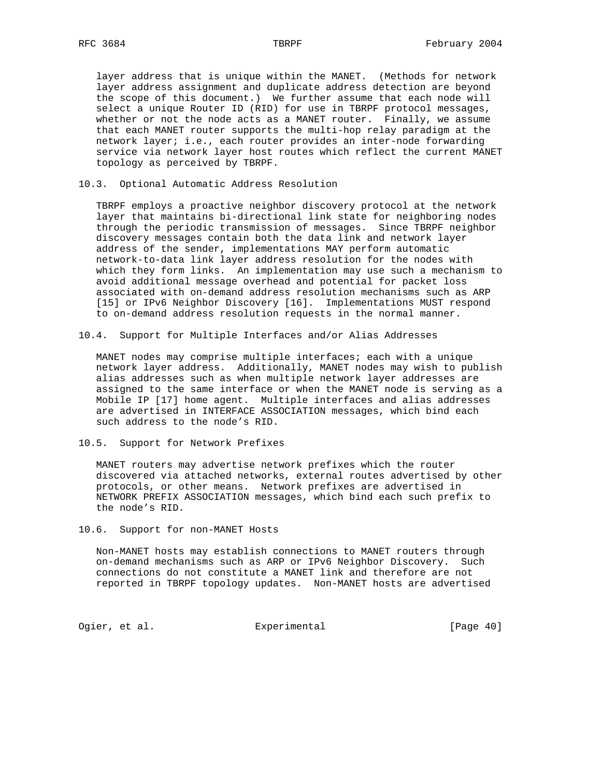layer address that is unique within the MANET. (Methods for network layer address assignment and duplicate address detection are beyond the scope of this document.) We further assume that each node will select a unique Router ID (RID) for use in TBRPF protocol messages, whether or not the node acts as a MANET router. Finally, we assume that each MANET router supports the multi-hop relay paradigm at the network layer; i.e., each router provides an inter-node forwarding service via network layer host routes which reflect the current MANET topology as perceived by TBRPF.

10.3. Optional Automatic Address Resolution

 TBRPF employs a proactive neighbor discovery protocol at the network layer that maintains bi-directional link state for neighboring nodes through the periodic transmission of messages. Since TBRPF neighbor discovery messages contain both the data link and network layer address of the sender, implementations MAY perform automatic network-to-data link layer address resolution for the nodes with which they form links. An implementation may use such a mechanism to avoid additional message overhead and potential for packet loss associated with on-demand address resolution mechanisms such as ARP [15] or IPv6 Neighbor Discovery [16]. Implementations MUST respond to on-demand address resolution requests in the normal manner.

10.4. Support for Multiple Interfaces and/or Alias Addresses

 MANET nodes may comprise multiple interfaces; each with a unique network layer address. Additionally, MANET nodes may wish to publish alias addresses such as when multiple network layer addresses are assigned to the same interface or when the MANET node is serving as a Mobile IP [17] home agent. Multiple interfaces and alias addresses are advertised in INTERFACE ASSOCIATION messages, which bind each such address to the node's RID.

10.5. Support for Network Prefixes

 MANET routers may advertise network prefixes which the router discovered via attached networks, external routes advertised by other protocols, or other means. Network prefixes are advertised in NETWORK PREFIX ASSOCIATION messages, which bind each such prefix to the node's RID.

10.6. Support for non-MANET Hosts

 Non-MANET hosts may establish connections to MANET routers through on-demand mechanisms such as ARP or IPv6 Neighbor Discovery. Such connections do not constitute a MANET link and therefore are not reported in TBRPF topology updates. Non-MANET hosts are advertised

Ogier, et al. Subsection Experimental Contract (Page 40)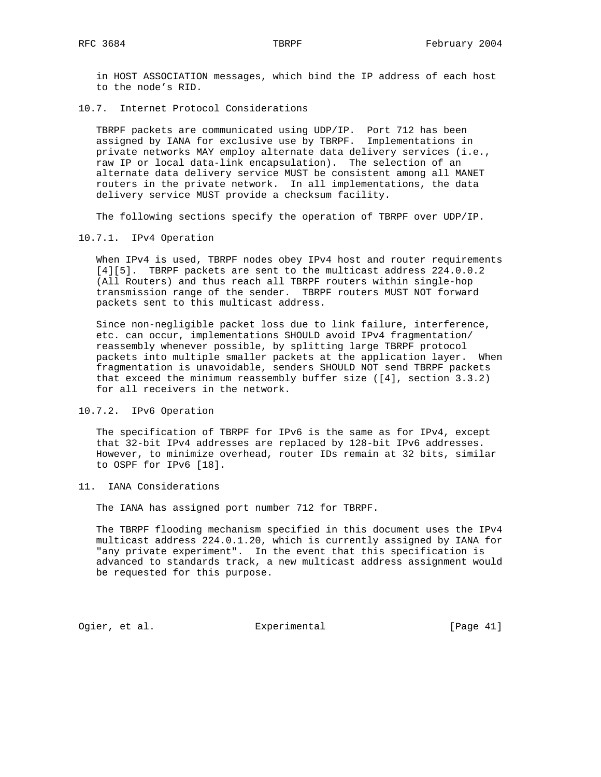in HOST ASSOCIATION messages, which bind the IP address of each host to the node's RID.

10.7. Internet Protocol Considerations

 TBRPF packets are communicated using UDP/IP. Port 712 has been assigned by IANA for exclusive use by TBRPF. Implementations in private networks MAY employ alternate data delivery services (i.e., raw IP or local data-link encapsulation). The selection of an alternate data delivery service MUST be consistent among all MANET routers in the private network. In all implementations, the data delivery service MUST provide a checksum facility.

The following sections specify the operation of TBRPF over UDP/IP.

10.7.1. IPv4 Operation

When IPv4 is used, TBRPF nodes obey IPv4 host and router requirements [4][5]. TBRPF packets are sent to the multicast address 224.0.0.2 (All Routers) and thus reach all TBRPF routers within single-hop transmission range of the sender. TBRPF routers MUST NOT forward packets sent to this multicast address.

 Since non-negligible packet loss due to link failure, interference, etc. can occur, implementations SHOULD avoid IPv4 fragmentation/ reassembly whenever possible, by splitting large TBRPF protocol packets into multiple smaller packets at the application layer. When fragmentation is unavoidable, senders SHOULD NOT send TBRPF packets that exceed the minimum reassembly buffer size ([4], section 3.3.2) for all receivers in the network.

10.7.2. IPv6 Operation

 The specification of TBRPF for IPv6 is the same as for IPv4, except that 32-bit IPv4 addresses are replaced by 128-bit IPv6 addresses. However, to minimize overhead, router IDs remain at 32 bits, similar to OSPF for IPv6 [18].

11. IANA Considerations

The IANA has assigned port number 712 for TBRPF.

 The TBRPF flooding mechanism specified in this document uses the IPv4 multicast address 224.0.1.20, which is currently assigned by IANA for "any private experiment". In the event that this specification is advanced to standards track, a new multicast address assignment would be requested for this purpose.

Ogier, et al. Subsection Experimental Contracts [Page 41]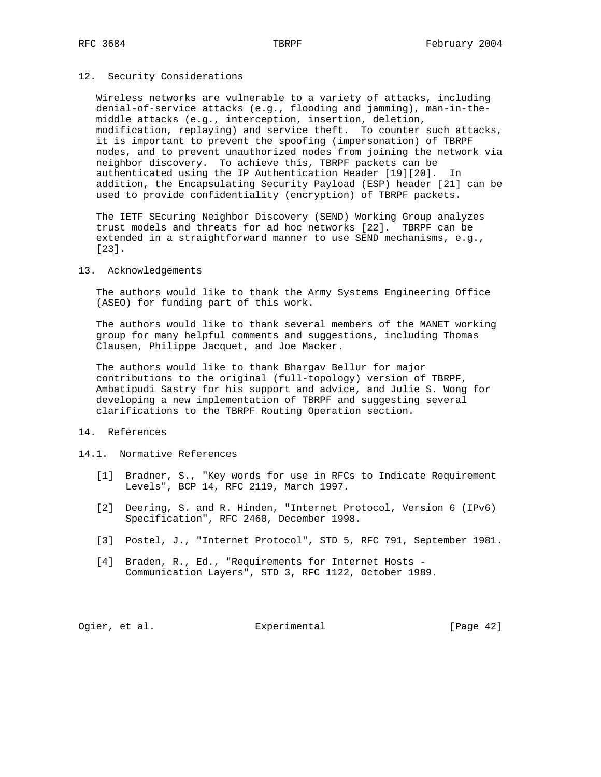# 12. Security Considerations

 Wireless networks are vulnerable to a variety of attacks, including denial-of-service attacks (e.g., flooding and jamming), man-in-the middle attacks (e.g., interception, insertion, deletion, modification, replaying) and service theft. To counter such attacks, it is important to prevent the spoofing (impersonation) of TBRPF nodes, and to prevent unauthorized nodes from joining the network via neighbor discovery. To achieve this, TBRPF packets can be authenticated using the IP Authentication Header [19][20]. In addition, the Encapsulating Security Payload (ESP) header [21] can be used to provide confidentiality (encryption) of TBRPF packets.

 The IETF SEcuring Neighbor Discovery (SEND) Working Group analyzes trust models and threats for ad hoc networks [22]. TBRPF can be extended in a straightforward manner to use SEND mechanisms, e.g., [23].

### 13. Acknowledgements

 The authors would like to thank the Army Systems Engineering Office (ASEO) for funding part of this work.

 The authors would like to thank several members of the MANET working group for many helpful comments and suggestions, including Thomas Clausen, Philippe Jacquet, and Joe Macker.

 The authors would like to thank Bhargav Bellur for major contributions to the original (full-topology) version of TBRPF, Ambatipudi Sastry for his support and advice, and Julie S. Wong for developing a new implementation of TBRPF and suggesting several clarifications to the TBRPF Routing Operation section.

# 14. References

# 14.1. Normative References

- [1] Bradner, S., "Key words for use in RFCs to Indicate Requirement Levels", BCP 14, RFC 2119, March 1997.
- [2] Deering, S. and R. Hinden, "Internet Protocol, Version 6 (IPv6) Specification", RFC 2460, December 1998.
- [3] Postel, J., "Internet Protocol", STD 5, RFC 791, September 1981.
- [4] Braden, R., Ed., "Requirements for Internet Hosts -Communication Layers", STD 3, RFC 1122, October 1989.

Ogier, et al. Subsection Experimental Contracts [Page 42]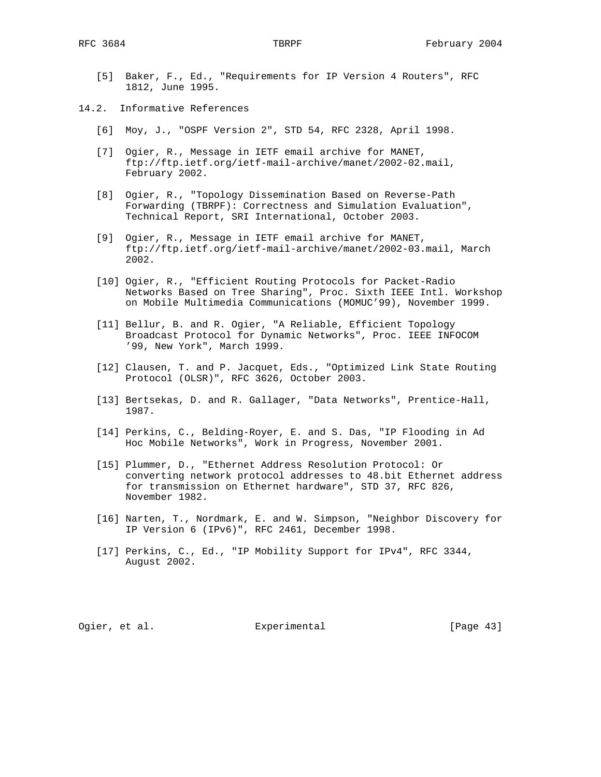- [5] Baker, F., Ed., "Requirements for IP Version 4 Routers", RFC 1812, June 1995.
- 14.2. Informative References
	- [6] Moy, J., "OSPF Version 2", STD 54, RFC 2328, April 1998.
	- [7] Ogier, R., Message in IETF email archive for MANET, ftp://ftp.ietf.org/ietf-mail-archive/manet/2002-02.mail, February 2002.
	- [8] Ogier, R., "Topology Dissemination Based on Reverse-Path Forwarding (TBRPF): Correctness and Simulation Evaluation", Technical Report, SRI International, October 2003.
	- [9] Ogier, R., Message in IETF email archive for MANET, ftp://ftp.ietf.org/ietf-mail-archive/manet/2002-03.mail, March 2002.
	- [10] Ogier, R., "Efficient Routing Protocols for Packet-Radio Networks Based on Tree Sharing", Proc. Sixth IEEE Intl. Workshop on Mobile Multimedia Communications (MOMUC'99), November 1999.
	- [11] Bellur, B. and R. Ogier, "A Reliable, Efficient Topology Broadcast Protocol for Dynamic Networks", Proc. IEEE INFOCOM '99, New York", March 1999.
	- [12] Clausen, T. and P. Jacquet, Eds., "Optimized Link State Routing Protocol (OLSR)", RFC 3626, October 2003.
	- [13] Bertsekas, D. and R. Gallager, "Data Networks", Prentice-Hall, 1987.
	- [14] Perkins, C., Belding-Royer, E. and S. Das, "IP Flooding in Ad Hoc Mobile Networks", Work in Progress, November 2001.
	- [15] Plummer, D., "Ethernet Address Resolution Protocol: Or converting network protocol addresses to 48.bit Ethernet address for transmission on Ethernet hardware", STD 37, RFC 826, November 1982.
	- [16] Narten, T., Nordmark, E. and W. Simpson, "Neighbor Discovery for IP Version 6 (IPv6)", RFC 2461, December 1998.
	- [17] Perkins, C., Ed., "IP Mobility Support for IPv4", RFC 3344, August 2002.

Ogier, et al. Suite Experimental Contract (Page 43)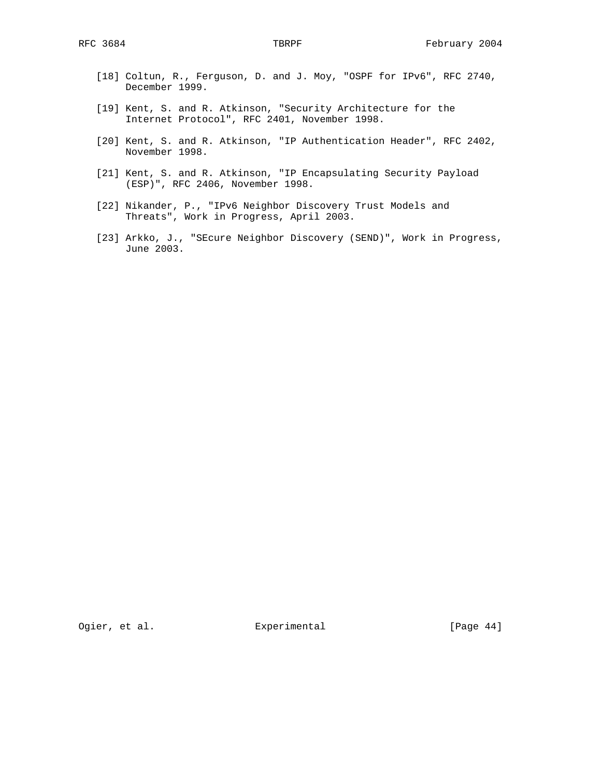- [18] Coltun, R., Ferguson, D. and J. Moy, "OSPF for IPv6", RFC 2740, December 1999.
- [19] Kent, S. and R. Atkinson, "Security Architecture for the Internet Protocol", RFC 2401, November 1998.
- [20] Kent, S. and R. Atkinson, "IP Authentication Header", RFC 2402, November 1998.
- [21] Kent, S. and R. Atkinson, "IP Encapsulating Security Payload (ESP)", RFC 2406, November 1998.
- [22] Nikander, P., "IPv6 Neighbor Discovery Trust Models and Threats", Work in Progress, April 2003.
- [23] Arkko, J., "SEcure Neighbor Discovery (SEND)", Work in Progress, June 2003.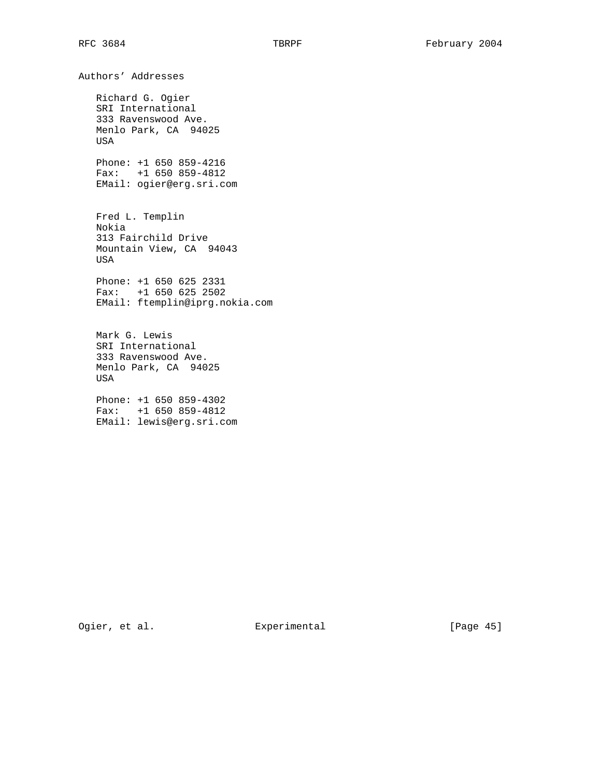Authors' Addresses Richard G. Ogier SRI International 333 Ravenswood Ave. Menlo Park, CA 94025 USA Phone: +1 650 859-4216 Fax: +1 650 859-4812 EMail: ogier@erg.sri.com Fred L. Templin Nokia 313 Fairchild Drive Mountain View, CA 94043 USA Phone: +1 650 625 2331 Fax: +1 650 625 2502 EMail: ftemplin@iprg.nokia.com Mark G. Lewis SRI International 333 Ravenswood Ave. Menlo Park, CA 94025 USA Phone: +1 650 859-4302 Fax: +1 650 859-4812

EMail: lewis@erg.sri.com

Ogier, et al. Subsection Experimental Contracts [Page 45]